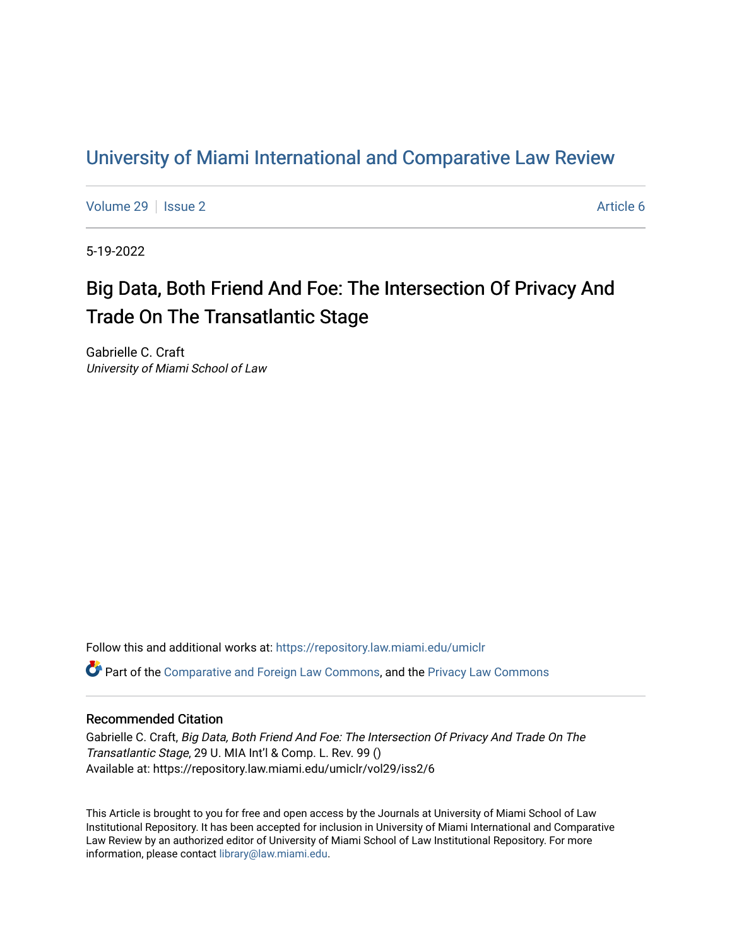## [University of Miami International and Comparative Law Review](https://repository.law.miami.edu/umiclr)

[Volume 29](https://repository.law.miami.edu/umiclr/vol29) | [Issue 2](https://repository.law.miami.edu/umiclr/vol29/iss2) Article 6

5-19-2022

# Big Data, Both Friend And Foe: The Intersection Of Privacy And Trade On The Transatlantic Stage

Gabrielle C. Craft University of Miami School of Law

Follow this and additional works at: [https://repository.law.miami.edu/umiclr](https://repository.law.miami.edu/umiclr?utm_source=repository.law.miami.edu%2Fumiclr%2Fvol29%2Fiss2%2F6&utm_medium=PDF&utm_campaign=PDFCoverPages)

Part of the [Comparative and Foreign Law Commons,](https://network.bepress.com/hgg/discipline/836?utm_source=repository.law.miami.edu%2Fumiclr%2Fvol29%2Fiss2%2F6&utm_medium=PDF&utm_campaign=PDFCoverPages) and the [Privacy Law Commons](https://network.bepress.com/hgg/discipline/1234?utm_source=repository.law.miami.edu%2Fumiclr%2Fvol29%2Fiss2%2F6&utm_medium=PDF&utm_campaign=PDFCoverPages) 

## Recommended Citation

Gabrielle C. Craft, Big Data, Both Friend And Foe: The Intersection Of Privacy And Trade On The Transatlantic Stage, 29 U. MIA Int'l & Comp. L. Rev. 99 () Available at: https://repository.law.miami.edu/umiclr/vol29/iss2/6

This Article is brought to you for free and open access by the Journals at University of Miami School of Law Institutional Repository. It has been accepted for inclusion in University of Miami International and Comparative Law Review by an authorized editor of University of Miami School of Law Institutional Repository. For more information, please contact [library@law.miami.edu](mailto:library@law.miami.edu).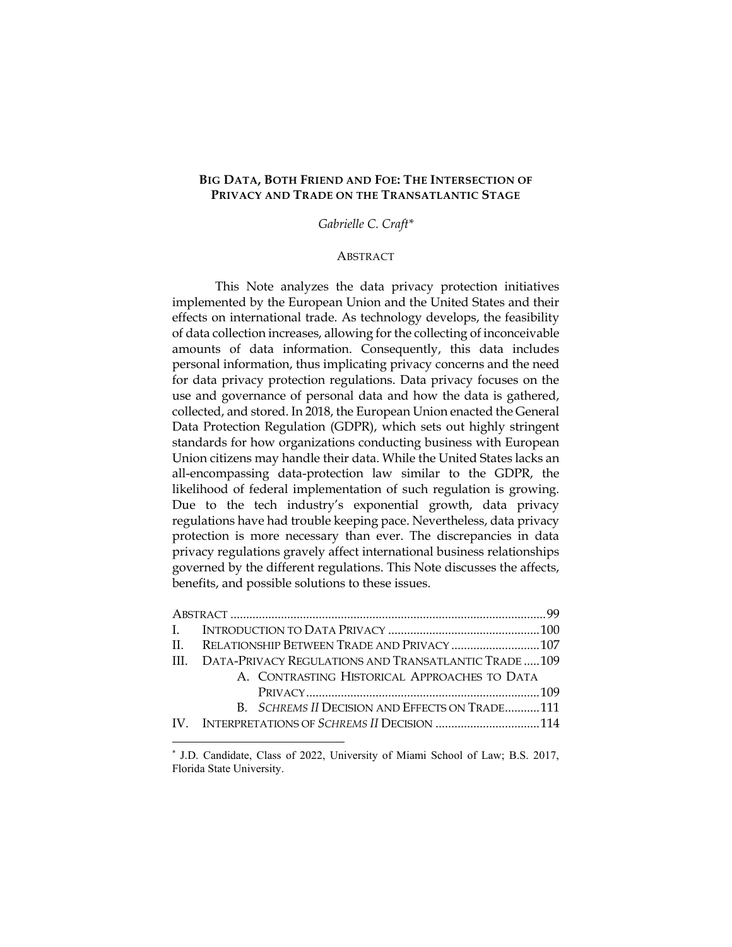## **BIG DATA, BOTH FRIEND AND FOE: THE INTERSECTION OF PRIVACY AND TRADE ON THE TRANSATLANTIC STAGE**

*Gabrielle C. Craft\**

## **ABSTRACT**

This Note analyzes the data privacy protection initiatives implemented by the European Union and the United States and their effects on international trade. As technology develops, the feasibility of data collection increases, allowing for the collecting of inconceivable amounts of data information. Consequently, this data includes personal information, thus implicating privacy concerns and the need for data privacy protection regulations. Data privacy focuses on the use and governance of personal data and how the data is gathered, collected, and stored. In 2018, the European Union enacted the General Data Protection Regulation (GDPR), which sets out highly stringent standards for how organizations conducting business with European Union citizens may handle their data. While the United States lacks an all-encompassing data-protection law similar to the GDPR, the likelihood of federal implementation of such regulation is growing. Due to the tech industry's exponential growth, data privacy regulations have had trouble keeping pace. Nevertheless, data privacy protection is more necessary than ever. The discrepancies in data privacy regulations gravely affect international business relationships governed by the different regulations. This Note discusses the affects, benefits, and possible solutions to these issues.

| III. DATA-PRIVACY REGULATIONS AND TRANSATLANTIC TRADE 109 |                                                |  |
|-----------------------------------------------------------|------------------------------------------------|--|
|                                                           | A. CONTRASTING HISTORICAL APPROACHES TO DATA   |  |
|                                                           |                                                |  |
|                                                           | B. SCHREMS II DECISION AND EFFECTS ON TRADE111 |  |
|                                                           | IV. INTERPRETATIONS OF SCHREMS II DECISION 114 |  |
|                                                           |                                                |  |

<sup>\*</sup> J.D. Candidate, Class of 2022, University of Miami School of Law; B.S. 2017, Florida State University.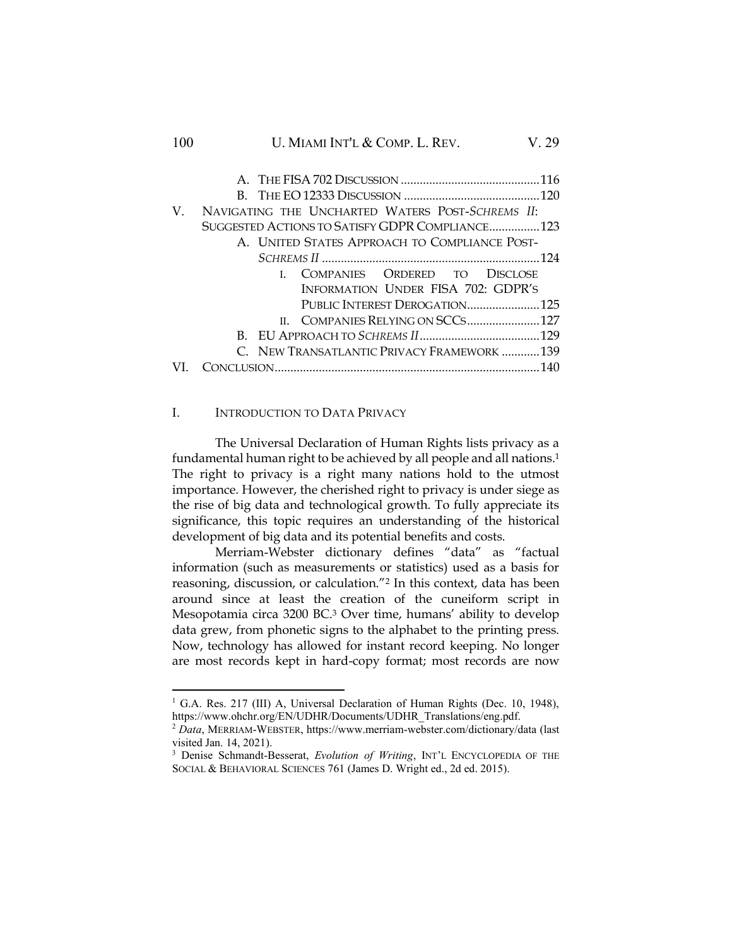## 100 U. MIAMI INT'L & COMP. L. REV. V. 29

| V. | NAVIGATING THE UNCHARTED WATERS POST-SCHREMS II: |  |
|----|--------------------------------------------------|--|
|    | SUGGESTED ACTIONS TO SATISFY GDPR COMPLIANCE 123 |  |
|    | A. UNITED STATES APPROACH TO COMPLIANCE POST-    |  |
|    |                                                  |  |
|    | I. COMPANIES ORDERED TO DISCLOSE                 |  |
|    | INFORMATION UNDER FISA 702: GDPR'S               |  |
|    | PUBLIC INTEREST DEROGATION125                    |  |
|    | II. COMPANIES RELYING ON SCCS127                 |  |
|    |                                                  |  |
|    | C. NEW TRANSATLANTIC PRIVACY FRAMEWORK 139       |  |
|    |                                                  |  |

## I. INTRODUCTION TO DATA PRIVACY

The Universal Declaration of Human Rights lists privacy as a fundamental human right to be achieved by all people and all nations.<sup>1</sup> The right to privacy is a right many nations hold to the utmost importance. However, the cherished right to privacy is under siege as the rise of big data and technological growth. To fully appreciate its significance, this topic requires an understanding of the historical development of big data and its potential benefits and costs.

Merriam-Webster dictionary defines "data" as "factual information (such as measurements or statistics) used as a basis for reasoning, discussion, or calculation."<sup>2</sup> In this context, data has been around since at least the creation of the cuneiform script in Mesopotamia circa 3200 BC.<sup>3</sup> Over time, humans' ability to develop data grew, from phonetic signs to the alphabet to the printing press. Now, technology has allowed for instant record keeping. No longer are most records kept in hard-copy format; most records are now

<sup>&</sup>lt;sup>1</sup> G.A. Res. 217 (III) A, Universal Declaration of Human Rights (Dec. 10, 1948), https://www.ohchr.org/EN/UDHR/Documents/UDHR\_Translations/eng.pdf.

<sup>2</sup> *Data*, MERRIAM-WEBSTER, https://www.merriam-webster.com/dictionary/data (last visited Jan. 14, 2021).

<sup>3</sup> Denise Schmandt-Besserat, *Evolution of Writing*, INT'L ENCYCLOPEDIA OF THE SOCIAL & BEHAVIORAL SCIENCES 761 (James D. Wright ed., 2d ed. 2015).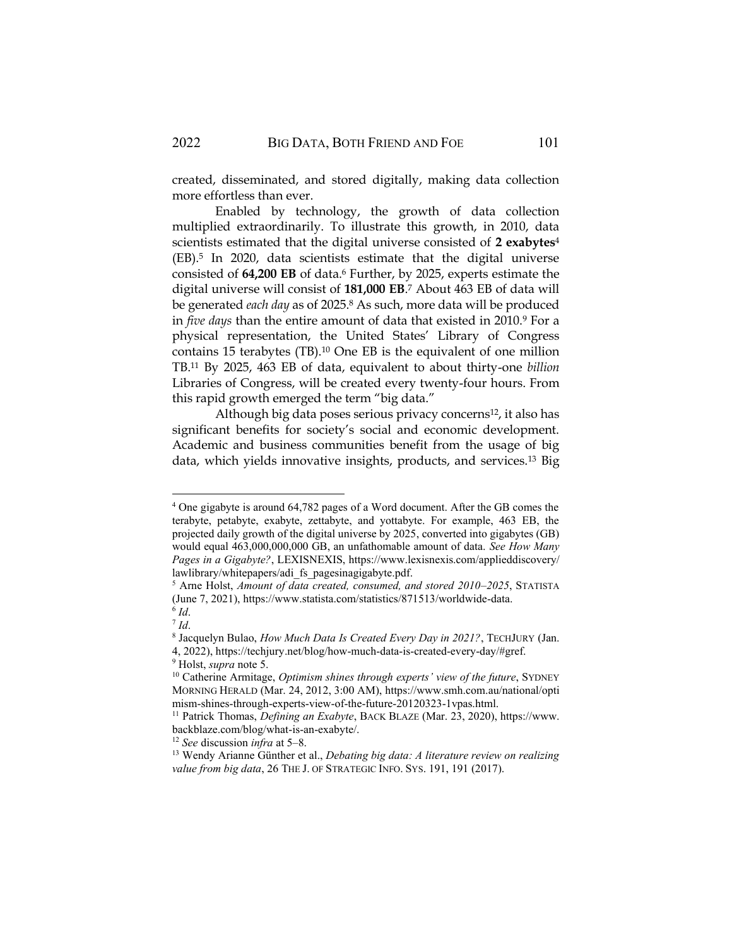created, disseminated, and stored digitally, making data collection more effortless than ever.

Enabled by technology, the growth of data collection multiplied extraordinarily. To illustrate this growth, in 2010, data scientists estimated that the digital universe consisted of **2 exabytes**<sup>4</sup> (EB).<sup>5</sup> In 2020, data scientists estimate that the digital universe consisted of **64,200 EB** of data.<sup>6</sup> Further, by 2025, experts estimate the digital universe will consist of **181,000 EB**. <sup>7</sup> About 463 EB of data will be generated *each day* as of 2025.<sup>8</sup> As such, more data will be produced in *five days* than the entire amount of data that existed in 2010.<sup>9</sup> For a physical representation, the United States' Library of Congress contains 15 terabytes (TB).<sup>10</sup> One EB is the equivalent of one million TB.<sup>11</sup> By 2025, 463 EB of data, equivalent to about thirty-one *billion* Libraries of Congress, will be created every twenty-four hours. From this rapid growth emerged the term "big data."

Although big data poses serious privacy concerns<sup>12</sup>, it also has significant benefits for society's social and economic development. Academic and business communities benefit from the usage of big data, which yields innovative insights, products, and services.<sup>13</sup> Big

<sup>4</sup> One gigabyte is around 64,782 pages of a Word document. After the GB comes the terabyte, petabyte, exabyte, zettabyte, and yottabyte. For example, 463 EB, the projected daily growth of the digital universe by 2025, converted into gigabytes (GB) would equal 463,000,000,000 GB, an unfathomable amount of data. *See How Many Pages in a Gigabyte?*, LEXISNEXIS, https://www.lexisnexis.com/applieddiscovery/ lawlibrary/whitepapers/adi\_fs\_pagesinagigabyte.pdf.

<sup>5</sup> Arne Holst, *Amount of data created, consumed, and stored 2010–2025*, STATISTA (June 7, 2021), https://www.statista.com/statistics/871513/worldwide-data.

<sup>6</sup> *Id*. 7 *Id*.

<sup>8</sup> Jacquelyn Bulao, *How Much Data Is Created Every Day in 2021?*, TECHJURY (Jan. 4, 2022), https://techjury.net/blog/how-much-data-is-created-every-day/#gref.

<sup>9</sup> Holst, *supra* note 5.

<sup>10</sup> Catherine Armitage, *Optimism shines through experts' view of the future*, SYDNEY MORNING HERALD (Mar. 24, 2012, 3:00 AM), https://www.smh.com.au/national/opti mism-shines-through-experts-view-of-the-future-20120323-1vpas.html.

<sup>11</sup> Patrick Thomas, *Defining an Exabyte*, BACK BLAZE (Mar. 23, 2020), https://www. backblaze.com/blog/what-is-an-exabyte/.

<sup>12</sup> *See* discussion *infra* at 5–8.

<sup>13</sup> Wendy Arianne Günther et al., *Debating big data: A literature review on realizing value from big data*, 26 THE J. OF STRATEGIC INFO. SYS. 191, 191 (2017).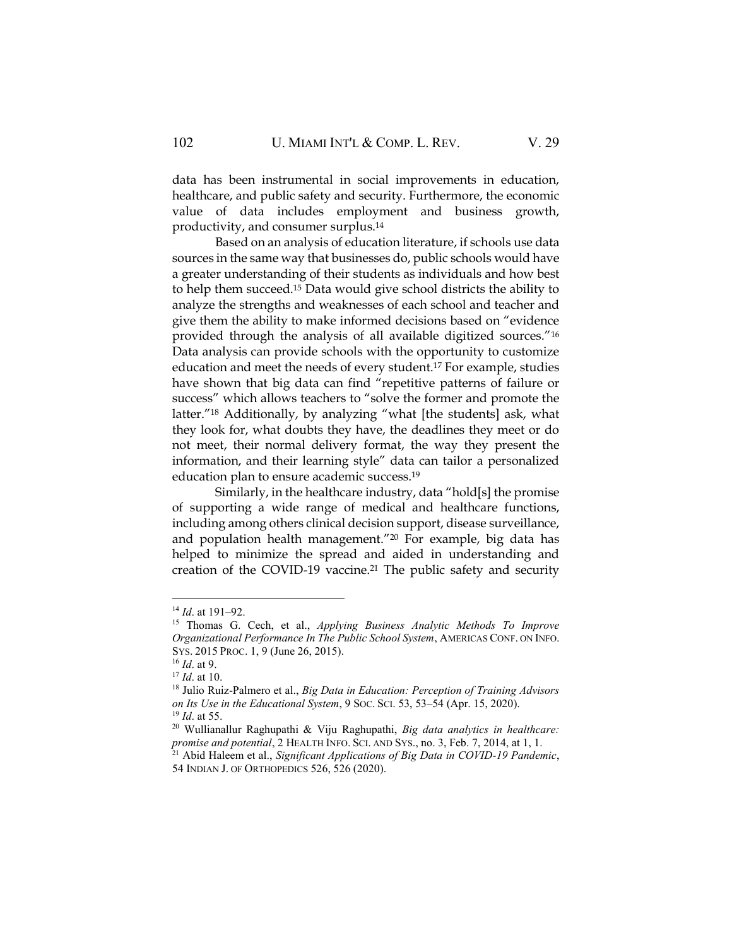data has been instrumental in social improvements in education, healthcare, and public safety and security. Furthermore, the economic value of data includes employment and business growth, productivity, and consumer surplus.<sup>14</sup>

Based on an analysis of education literature, if schools use data sources in the same way that businesses do, public schools would have a greater understanding of their students as individuals and how best to help them succeed.<sup>15</sup> Data would give school districts the ability to analyze the strengths and weaknesses of each school and teacher and give them the ability to make informed decisions based on "evidence provided through the analysis of all available digitized sources."<sup>16</sup> Data analysis can provide schools with the opportunity to customize education and meet the needs of every student.<sup>17</sup> For example, studies have shown that big data can find "repetitive patterns of failure or success" which allows teachers to "solve the former and promote the latter."<sup>18</sup> Additionally, by analyzing "what [the students] ask, what they look for, what doubts they have, the deadlines they meet or do not meet, their normal delivery format, the way they present the information, and their learning style" data can tailor a personalized education plan to ensure academic success.<sup>19</sup>

Similarly, in the healthcare industry, data "hold[s] the promise of supporting a wide range of medical and healthcare functions, including among others clinical decision support, disease surveillance, and population health management."<sup>20</sup> For example, big data has helped to minimize the spread and aided in understanding and creation of the COVID-19 vaccine.<sup>21</sup> The public safety and security

<sup>14</sup> *Id*. at 191–92.

<sup>15</sup> Thomas G. Cech, et al., *Applying Business Analytic Methods To Improve Organizational Performance In The Public School System*, AMERICAS CONF. ON INFO. SYS. 2015 PROC. 1, 9 (June 26, 2015).

<sup>16</sup> *Id*. at 9.

<sup>17</sup> *Id*. at 10.

<sup>18</sup> Julio Ruiz-Palmero et al., *Big Data in Education: Perception of Training Advisors on Its Use in the Educational System*, 9 SOC. SCI. 53, 53–54 (Apr. 15, 2020). <sup>19</sup> *Id*. at 55.

<sup>20</sup> Wullianallur Raghupathi & Viju Raghupathi, *Big data analytics in healthcare: promise and potential*, 2 HEALTH INFO. SCI. AND SYS., no. 3, Feb. 7, 2014, at 1, 1. <sup>21</sup> Abid Haleem et al., *Significant Applications of Big Data in COVID-19 Pandemic*,

<sup>54</sup> INDIAN J. OF ORTHOPEDICS 526, 526 (2020).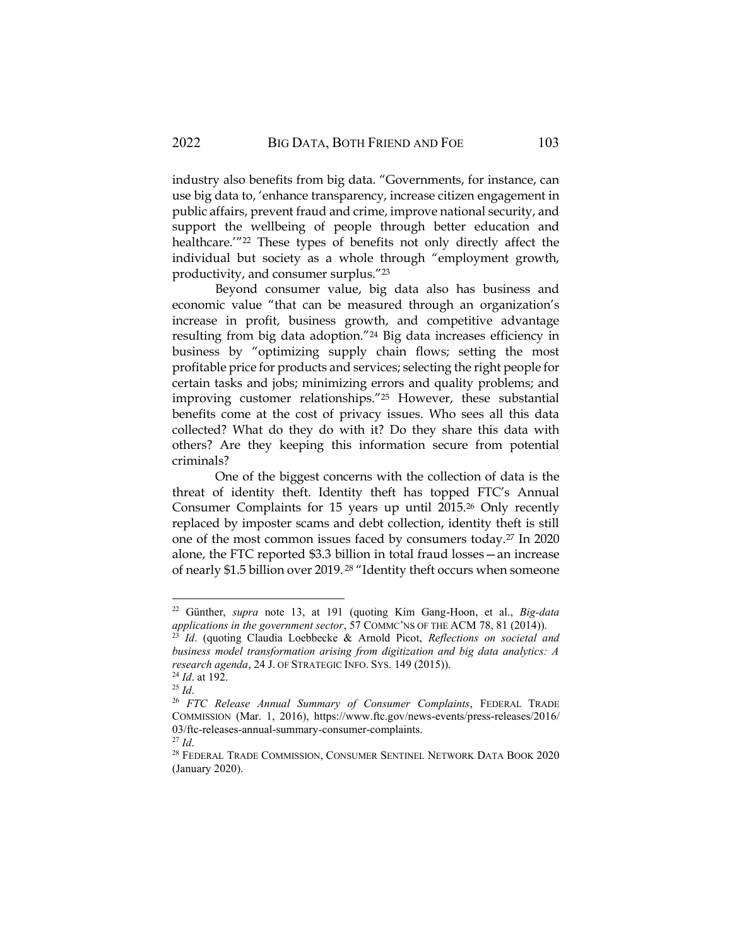industry also benefits from big data. "Governments, for instance, can use big data to, 'enhance transparency, increase citizen engagement in public affairs, prevent fraud and crime, improve national security, and support the wellbeing of people through better education and healthcare.'"<sup>22</sup> These types of benefits not only directly affect the individual but society as a whole through "employment growth, productivity, and consumer surplus."<sup>23</sup>

Beyond consumer value, big data also has business and economic value "that can be measured through an organization's increase in profit, business growth, and competitive advantage resulting from big data adoption."<sup>24</sup> Big data increases efficiency in business by "optimizing supply chain flows; setting the most profitable price for products and services; selecting the right people for certain tasks and jobs; minimizing errors and quality problems; and improving customer relationships."<sup>25</sup> However, these substantial benefits come at the cost of privacy issues. Who sees all this data collected? What do they do with it? Do they share this data with others? Are they keeping this information secure from potential criminals?

One of the biggest concerns with the collection of data is the threat of identity theft. Identity theft has topped FTC's Annual Consumer Complaints for 15 years up until 2015.<sup>26</sup> Only recently replaced by imposter scams and debt collection, identity theft is still one of the most common issues faced by consumers today.<sup>27</sup> In 2020 alone, the FTC reported \$3.3 billion in total fraud losses—an increase of nearly \$1.5 billion over 2019. <sup>28</sup> "Identity theft occurs when someone

<sup>22</sup> Günther, *supra* note 13, at 191 (quoting Kim Gang-Hoon, et al., *Big-data applications in the government sector*, 57 COMMC'NS OF THE ACM 78, 81 (2014)).

<sup>23</sup> *Id*. (quoting Claudia Loebbecke & Arnold Picot, *Reflections on societal and business model transformation arising from digitization and big data analytics: A research agenda*, 24 J. OF STRATEGIC INFO. SYS. 149 (2015)). <sup>24</sup> *Id*. at 192.

<sup>25</sup> *Id*.

<sup>26</sup> *FTC Release Annual Summary of Consumer Complaints*, FEDERAL TRADE COMMISSION (Mar. 1, 2016), https://www.ftc.gov/news-events/press-releases/2016/ 03/ftc-releases-annual-summary-consumer-complaints.

<sup>27</sup> *Id*.

 $^\mathrm{28}$ FEDERAL TRADE COMMISSION, CONSUMER SENTINEL NETWORK DATA BOOK  $2020$ (January 2020).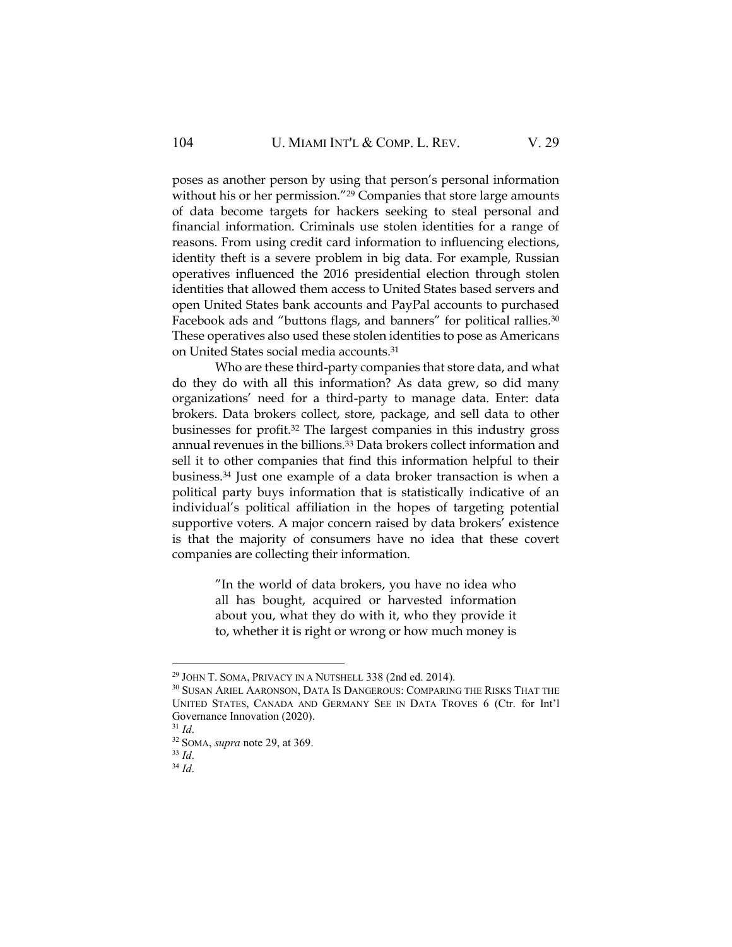poses as another person by using that person's personal information without his or her permission."<sup>29</sup> Companies that store large amounts of data become targets for hackers seeking to steal personal and financial information. Criminals use stolen identities for a range of reasons. From using credit card information to influencing elections, identity theft is a severe problem in big data. For example, Russian operatives influenced the 2016 presidential election through stolen identities that allowed them access to United States based servers and open United States bank accounts and PayPal accounts to purchased Facebook ads and "buttons flags, and banners" for political rallies.<sup>30</sup> These operatives also used these stolen identities to pose as Americans on United States social media accounts.<sup>31</sup>

Who are these third-party companies that store data, and what do they do with all this information? As data grew, so did many organizations' need for a third-party to manage data. Enter: data brokers. Data brokers collect, store, package, and sell data to other businesses for profit.<sup>32</sup> The largest companies in this industry gross annual revenues in the billions.<sup>33</sup> Data brokers collect information and sell it to other companies that find this information helpful to their business.<sup>34</sup> Just one example of a data broker transaction is when a political party buys information that is statistically indicative of an individual's political affiliation in the hopes of targeting potential supportive voters. A major concern raised by data brokers' existence is that the majority of consumers have no idea that these covert companies are collecting their information.

> "In the world of data brokers, you have no idea who all has bought, acquired or harvested information about you, what they do with it, who they provide it to, whether it is right or wrong or how much money is

<sup>29</sup> JOHN T. SOMA, PRIVACY IN A NUTSHELL 338 (2nd ed. 2014).

 $^{30}$  SUSAN ARIEL AARONSON, DATA IS DANGEROUS: COMPARING THE RISKS THAT THE UNITED STATES, CANADA AND GERMANY SEE IN DATA TROVES 6 (Ctr. for Int'l Governance Innovation (2020).

<sup>31</sup> *Id*.

<sup>32</sup> SOMA, *supra* note 29, at 369.

<sup>33</sup> *Id*.

<sup>34</sup> *Id*.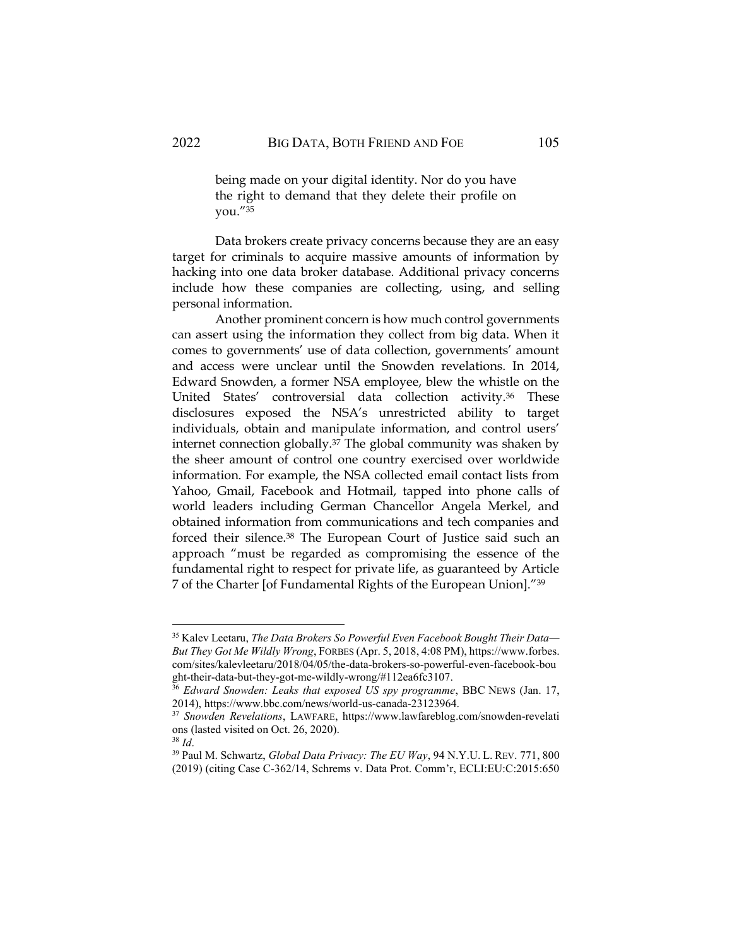being made on your digital identity. Nor do you have the right to demand that they delete their profile on you."<sup>35</sup>

Data brokers create privacy concerns because they are an easy target for criminals to acquire massive amounts of information by hacking into one data broker database. Additional privacy concerns include how these companies are collecting, using, and selling personal information.

Another prominent concern is how much control governments can assert using the information they collect from big data. When it comes to governments' use of data collection, governments' amount and access were unclear until the Snowden revelations. In 2014, Edward Snowden, a former NSA employee, blew the whistle on the United States' controversial data collection activity.<sup>36</sup> These disclosures exposed the NSA's unrestricted ability to target individuals, obtain and manipulate information, and control users' internet connection globally.<sup>37</sup> The global community was shaken by the sheer amount of control one country exercised over worldwide information. For example, the NSA collected email contact lists from Yahoo, Gmail, Facebook and Hotmail, tapped into phone calls of world leaders including German Chancellor Angela Merkel, and obtained information from communications and tech companies and forced their silence.<sup>38</sup> The European Court of Justice said such an approach "must be regarded as compromising the essence of the fundamental right to respect for private life, as guaranteed by Article 7 of the Charter [of Fundamental Rights of the European Union]."<sup>39</sup>

<sup>35</sup> Kalev Leetaru, *The Data Brokers So Powerful Even Facebook Bought Their Data— But They Got Me Wildly Wrong*, FORBES (Apr. 5, 2018, 4:08 PM), https://www.forbes. com/sites/kalevleetaru/2018/04/05/the-data-brokers-so-powerful-even-facebook-bou ght-their-data-but-they-got-me-wildly-wrong/#112ea6fc3107.

<sup>36</sup> *Edward Snowden: Leaks that exposed US spy programme*, BBC NEWS (Jan. 17, 2014), https://www.bbc.com/news/world-us-canada-23123964.

<sup>37</sup> *Snowden Revelations*, LAWFARE, https://www.lawfareblog.com/snowden-revelati ons (lasted visited on Oct. 26, 2020).

<sup>38</sup> *Id*.

<sup>39</sup> Paul M. Schwartz, *Global Data Privacy: The EU Way*, 94 N.Y.U. L. REV. 771, 800 (2019) (citing Case C-362/14, Schrems v. Data Prot. Comm'r, ECLI:EU:C:2015:650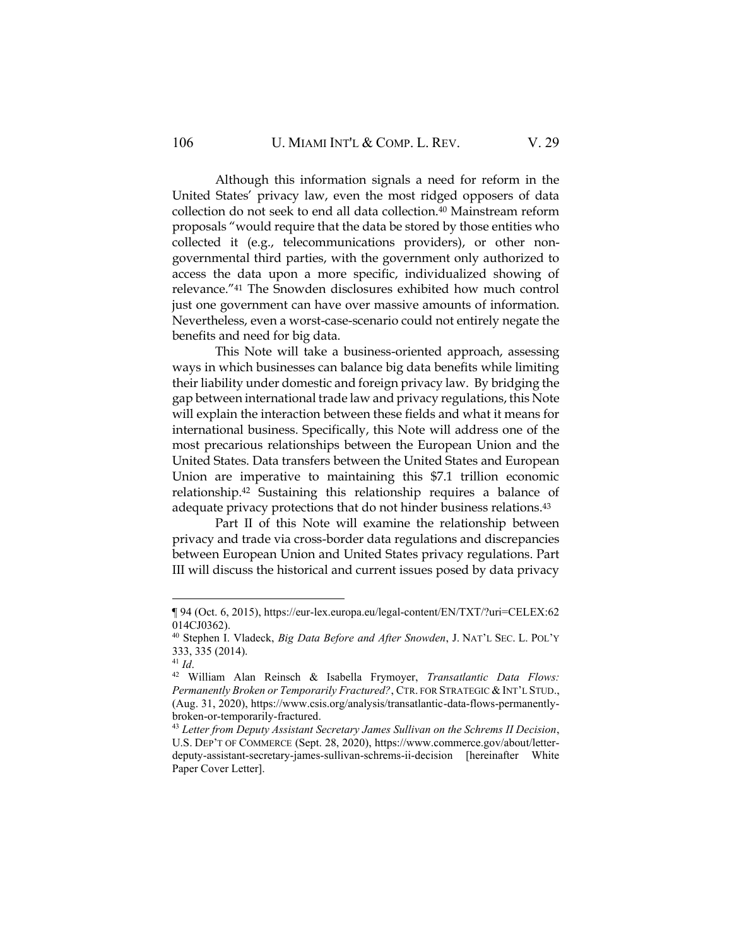Although this information signals a need for reform in the United States' privacy law, even the most ridged opposers of data collection do not seek to end all data collection.<sup>40</sup> Mainstream reform proposals "would require that the data be stored by those entities who collected it (e.g., telecommunications providers), or other nongovernmental third parties, with the government only authorized to access the data upon a more specific, individualized showing of relevance."<sup>41</sup> The Snowden disclosures exhibited how much control just one government can have over massive amounts of information. Nevertheless, even a worst-case-scenario could not entirely negate the benefits and need for big data.

This Note will take a business-oriented approach, assessing ways in which businesses can balance big data benefits while limiting their liability under domestic and foreign privacy law. By bridging the gap between international trade law and privacy regulations, this Note will explain the interaction between these fields and what it means for international business. Specifically, this Note will address one of the most precarious relationships between the European Union and the United States. Data transfers between the United States and European Union are imperative to maintaining this \$7.1 trillion economic relationship.<sup>42</sup> Sustaining this relationship requires a balance of adequate privacy protections that do not hinder business relations.<sup>43</sup>

Part II of this Note will examine the relationship between privacy and trade via cross-border data regulations and discrepancies between European Union and United States privacy regulations. Part III will discuss the historical and current issues posed by data privacy

<sup>¶ 94 (</sup>Oct. 6, 2015), https://eur-lex.europa.eu/legal-content/EN/TXT/?uri=CELEX:62 014CJ0362).

<sup>40</sup> Stephen I. Vladeck, *Big Data Before and After Snowden*, J. NAT'L SEC. L. POL'Y 333, 335 (2014).

<sup>41</sup> *Id*.

<sup>42</sup> William Alan Reinsch & Isabella Frymoyer, *Transatlantic Data Flows: Permanently Broken or Temporarily Fractured?*, CTR. FOR STRATEGIC & INT'L STUD., (Aug. 31, 2020), https://www.csis.org/analysis/transatlantic-data-flows-permanentlybroken-or-temporarily-fractured.

<sup>43</sup> *Letter from Deputy Assistant Secretary James Sullivan on the Schrems II Decision*, U.S. DEP'T OF COMMERCE (Sept. 28, 2020), https://www.commerce.gov/about/letterdeputy-assistant-secretary-james-sullivan-schrems-ii-decision [hereinafter White Paper Cover Letter].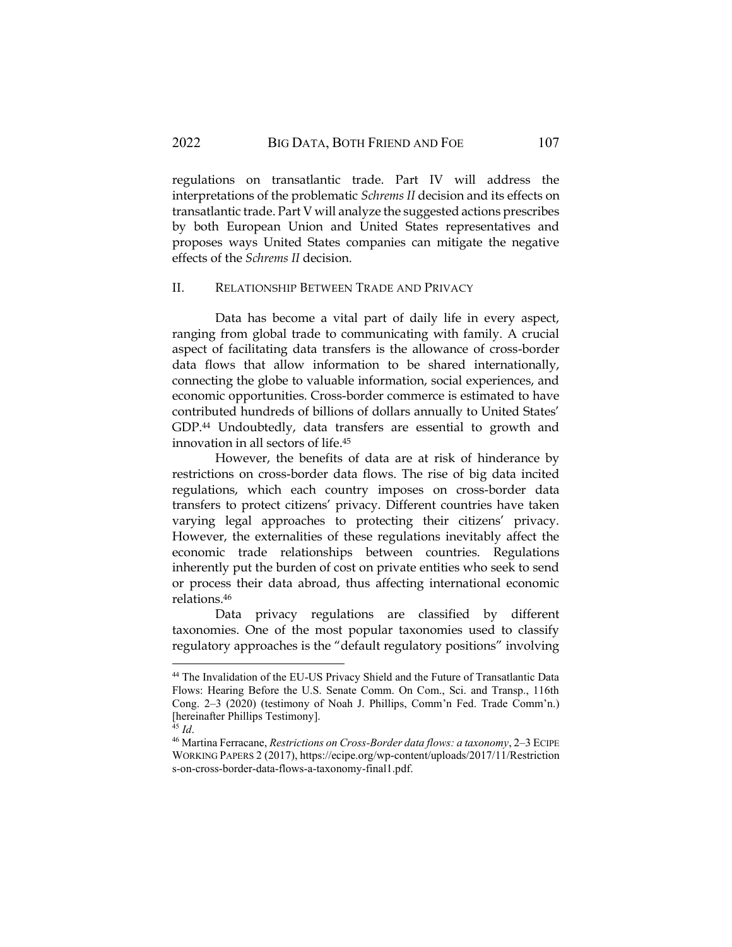regulations on transatlantic trade. Part IV will address the interpretations of the problematic *Schrems II* decision and its effects on transatlantic trade. Part V will analyze the suggested actions prescribes by both European Union and United States representatives and proposes ways United States companies can mitigate the negative effects of the *Schrems II* decision.

#### II. RELATIONSHIP BETWEEN TRADE AND PRIVACY

Data has become a vital part of daily life in every aspect, ranging from global trade to communicating with family. A crucial aspect of facilitating data transfers is the allowance of cross-border data flows that allow information to be shared internationally, connecting the globe to valuable information, social experiences, and economic opportunities. Cross-border commerce is estimated to have contributed hundreds of billions of dollars annually to United States' GDP.<sup>44</sup> Undoubtedly, data transfers are essential to growth and innovation in all sectors of life.<sup>45</sup>

However, the benefits of data are at risk of hinderance by restrictions on cross-border data flows. The rise of big data incited regulations, which each country imposes on cross-border data transfers to protect citizens' privacy. Different countries have taken varying legal approaches to protecting their citizens' privacy. However, the externalities of these regulations inevitably affect the economic trade relationships between countries. Regulations inherently put the burden of cost on private entities who seek to send or process their data abroad, thus affecting international economic relations.<sup>46</sup>

Data privacy regulations are classified by different taxonomies. One of the most popular taxonomies used to classify regulatory approaches is the "default regulatory positions" involving

<sup>44</sup> The Invalidation of the EU-US Privacy Shield and the Future of Transatlantic Data Flows: Hearing Before the U.S. Senate Comm. On Com., Sci. and Transp., 116th Cong. 2–3 (2020) (testimony of Noah J. Phillips, Comm'n Fed. Trade Comm'n.) [hereinafter Phillips Testimony].

<sup>45</sup> *Id*.

<sup>46</sup> Martina Ferracane, *Restrictions on Cross-Border data flows: a taxonomy*, 2–3 ECIPE WORKING PAPERS 2 (2017), https://ecipe.org/wp-content/uploads/2017/11/Restriction s-on-cross-border-data-flows-a-taxonomy-final1.pdf.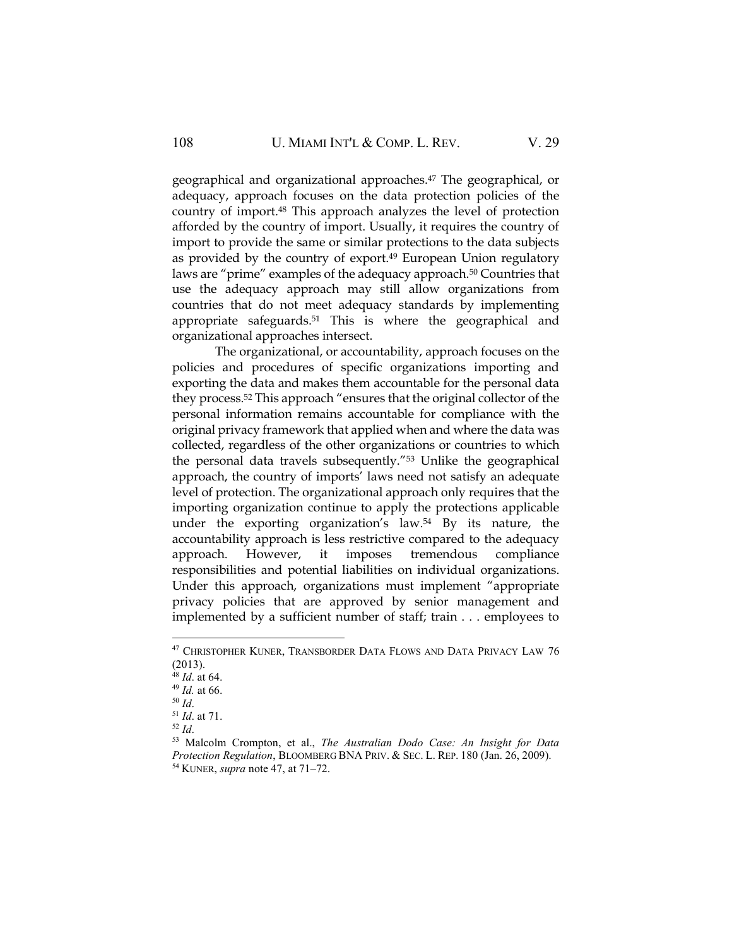geographical and organizational approaches.<sup>47</sup> The geographical, or adequacy, approach focuses on the data protection policies of the country of import.<sup>48</sup> This approach analyzes the level of protection afforded by the country of import. Usually, it requires the country of import to provide the same or similar protections to the data subjects as provided by the country of export.<sup>49</sup> European Union regulatory laws are "prime" examples of the adequacy approach.<sup>50</sup> Countries that use the adequacy approach may still allow organizations from countries that do not meet adequacy standards by implementing appropriate safeguards.<sup>51</sup> This is where the geographical and organizational approaches intersect.

The organizational, or accountability, approach focuses on the policies and procedures of specific organizations importing and exporting the data and makes them accountable for the personal data they process.<sup>52</sup> This approach "ensures that the original collector of the personal information remains accountable for compliance with the original privacy framework that applied when and where the data was collected, regardless of the other organizations or countries to which the personal data travels subsequently."<sup>53</sup> Unlike the geographical approach, the country of imports' laws need not satisfy an adequate level of protection. The organizational approach only requires that the importing organization continue to apply the protections applicable under the exporting organization's law.<sup>54</sup> By its nature, the accountability approach is less restrictive compared to the adequacy approach. However, it imposes tremendous compliance responsibilities and potential liabilities on individual organizations. Under this approach, organizations must implement "appropriate privacy policies that are approved by senior management and implemented by a sufficient number of staff; train . . . employees to

<sup>52</sup> *Id*.

<sup>&</sup>lt;sup>47</sup> CHRISTOPHER KUNER, TRANSBORDER DATA FLOWS AND DATA PRIVACY LAW 76 (2013).

<sup>48</sup> *Id*. at 64.

<sup>49</sup> *Id.* at 66.

<sup>50</sup> *Id*.

<sup>51</sup> *Id*. at 71.

<sup>53</sup> Malcolm Crompton, et al., *The Australian Dodo Case: An Insight for Data Protection Regulation*, BLOOMBERG BNA PRIV. & SEC. L. REP. 180 (Jan. 26, 2009). <sup>54</sup> KUNER, *supra* note 47, at 71–72.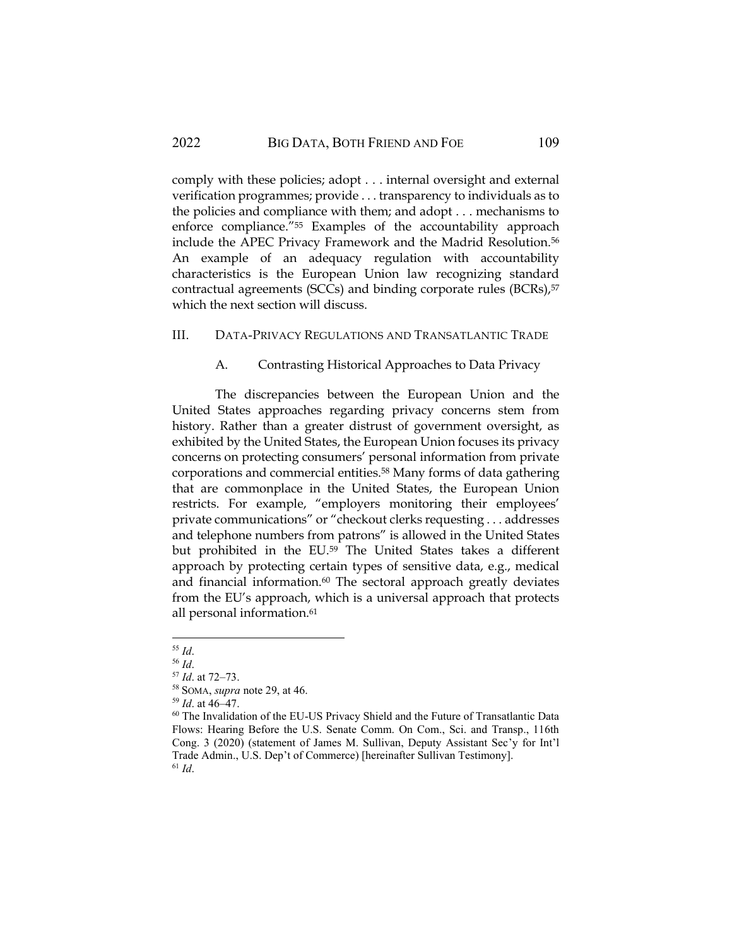comply with these policies; adopt . . . internal oversight and external verification programmes; provide . . . transparency to individuals as to the policies and compliance with them; and adopt . . . mechanisms to enforce compliance."<sup>55</sup> Examples of the accountability approach include the APEC Privacy Framework and the Madrid Resolution.<sup>56</sup> An example of an adequacy regulation with accountability characteristics is the European Union law recognizing standard contractual agreements (SCCs) and binding corporate rules (BCRs),<sup>57</sup> which the next section will discuss.

## III. DATA-PRIVACY REGULATIONS AND TRANSATLANTIC TRADE

## A. Contrasting Historical Approaches to Data Privacy

The discrepancies between the European Union and the United States approaches regarding privacy concerns stem from history. Rather than a greater distrust of government oversight, as exhibited by the United States, the European Union focuses its privacy concerns on protecting consumers' personal information from private corporations and commercial entities.<sup>58</sup> Many forms of data gathering that are commonplace in the United States, the European Union restricts. For example, "employers monitoring their employees' private communications" or "checkout clerks requesting . . . addresses and telephone numbers from patrons" is allowed in the United States but prohibited in the EU.<sup>59</sup> The United States takes a different approach by protecting certain types of sensitive data, e.g., medical and financial information.<sup>60</sup> The sectoral approach greatly deviates from the EU's approach, which is a universal approach that protects all personal information.<sup>61</sup>

<sup>55</sup> *Id*.

<sup>56</sup> *Id*.

<sup>57</sup> *Id*. at 72–73.

<sup>58</sup> SOMA, *supra* note 29, at 46.

<sup>59</sup> *Id*. at 46–47.

<sup>60</sup> The Invalidation of the EU-US Privacy Shield and the Future of Transatlantic Data Flows: Hearing Before the U.S. Senate Comm. On Com., Sci. and Transp., 116th Cong. 3 (2020) (statement of James M. Sullivan, Deputy Assistant Sec'y for Int'l Trade Admin., U.S. Dep't of Commerce) [hereinafter Sullivan Testimony]. <sup>61</sup> *Id*.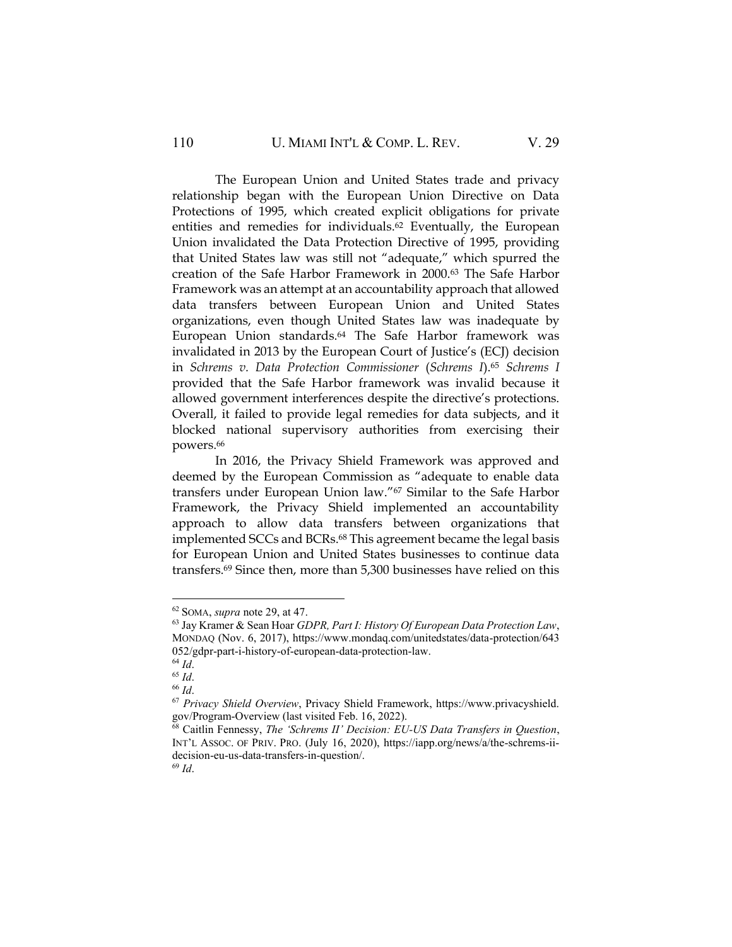The European Union and United States trade and privacy relationship began with the European Union Directive on Data Protections of 1995, which created explicit obligations for private entities and remedies for individuals.<sup>62</sup> Eventually, the European Union invalidated the Data Protection Directive of 1995, providing that United States law was still not "adequate," which spurred the creation of the Safe Harbor Framework in 2000.<sup>63</sup> The Safe Harbor Framework was an attempt at an accountability approach that allowed data transfers between European Union and United States organizations, even though United States law was inadequate by European Union standards.<sup>64</sup> The Safe Harbor framework was invalidated in 2013 by the European Court of Justice's (ECJ) decision in *Schrems v. Data Protection Commissioner* (*Schrems I*).<sup>65</sup> *Schrems I* provided that the Safe Harbor framework was invalid because it allowed government interferences despite the directive's protections. Overall, it failed to provide legal remedies for data subjects, and it blocked national supervisory authorities from exercising their powers.<sup>66</sup>

In 2016, the Privacy Shield Framework was approved and deemed by the European Commission as "adequate to enable data transfers under European Union law."<sup>67</sup> Similar to the Safe Harbor Framework, the Privacy Shield implemented an accountability approach to allow data transfers between organizations that implemented SCCs and BCRs.<sup>68</sup> This agreement became the legal basis for European Union and United States businesses to continue data transfers.<sup>69</sup> Since then, more than 5,300 businesses have relied on this

<sup>62</sup> SOMA, *supra* note 29, at 47.

<sup>63</sup> Jay Kramer & Sean Hoar *GDPR, Part I: History Of European Data Protection Law*, MONDAQ (Nov. 6, 2017), https://www.mondaq.com/unitedstates/data-protection/643 052/gdpr-part-i-history-of-european-data-protection-law.

<sup>64</sup> *Id*.

<sup>65</sup> *Id*.

<sup>66</sup> *Id*.

<sup>67</sup> *Privacy Shield Overview*, Privacy Shield Framework, https://www.privacyshield. gov/Program-Overview (last visited Feb. 16, 2022).

<sup>68</sup> Caitlin Fennessy, *The 'Schrems II' Decision: EU-US Data Transfers in Question*, INT'L ASSOC. OF PRIV. PRO. (July 16, 2020), https://iapp.org/news/a/the-schrems-iidecision-eu-us-data-transfers-in-question/.

<sup>69</sup> *Id*.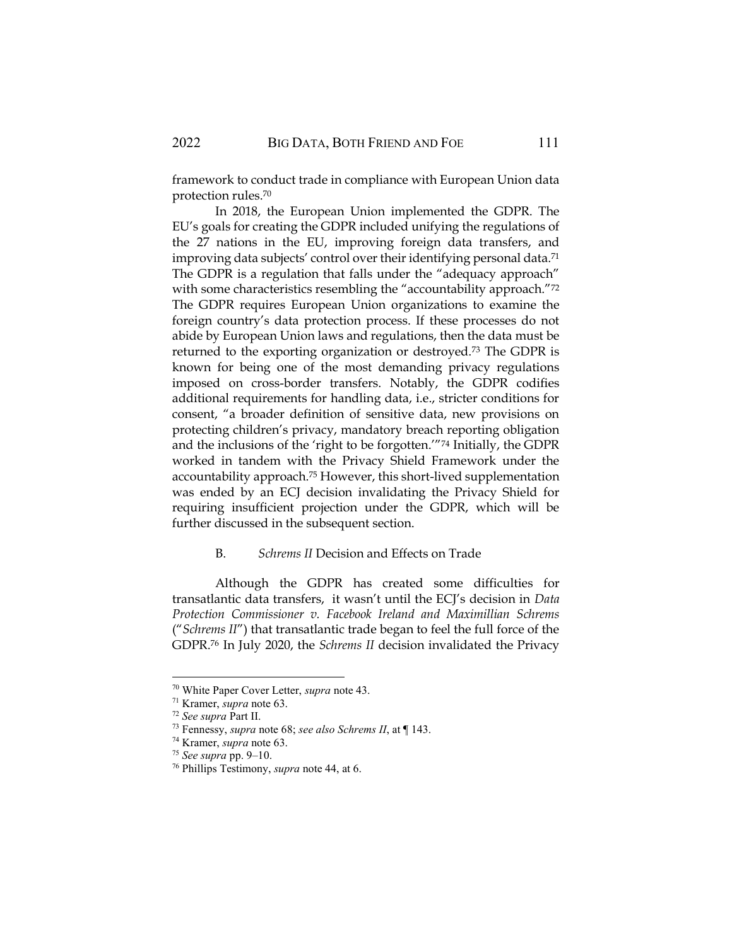framework to conduct trade in compliance with European Union data protection rules.<sup>70</sup>

In 2018, the European Union implemented the GDPR. The EU's goals for creating the GDPR included unifying the regulations of the 27 nations in the EU, improving foreign data transfers, and improving data subjects' control over their identifying personal data.<sup>71</sup> The GDPR is a regulation that falls under the "adequacy approach" with some characteristics resembling the "accountability approach."72 The GDPR requires European Union organizations to examine the foreign country's data protection process. If these processes do not abide by European Union laws and regulations, then the data must be returned to the exporting organization or destroyed.<sup>73</sup> The GDPR is known for being one of the most demanding privacy regulations imposed on cross-border transfers. Notably, the GDPR codifies additional requirements for handling data, i.e., stricter conditions for consent, "a broader definition of sensitive data, new provisions on protecting children's privacy, mandatory breach reporting obligation and the inclusions of the 'right to be forgotten.'"<sup>74</sup> Initially, the GDPR worked in tandem with the Privacy Shield Framework under the accountability approach.<sup>75</sup> However, this short-lived supplementation was ended by an ECJ decision invalidating the Privacy Shield for requiring insufficient projection under the GDPR, which will be further discussed in the subsequent section.

#### B. *Schrems II* Decision and Effects on Trade

Although the GDPR has created some difficulties for transatlantic data transfers, it wasn't until the ECJ's decision in *Data Protection Commissioner v. Facebook Ireland and Maximillian Schrems* ("*Schrems II*") that transatlantic trade began to feel the full force of the GDPR.<sup>76</sup> In July 2020, the *Schrems II* decision invalidated the Privacy

<sup>70</sup> White Paper Cover Letter, *supra* note 43.

<sup>71</sup> Kramer, *supra* note 63.

<sup>72</sup> *See supra* Part II.

<sup>73</sup> Fennessy, *supra* note 68; *see also Schrems II*, at ¶ 143.

<sup>74</sup> Kramer, *supra* note 63.

<sup>75</sup> *See supra* pp. 9–10.

<sup>76</sup> Phillips Testimony, *supra* note 44, at 6.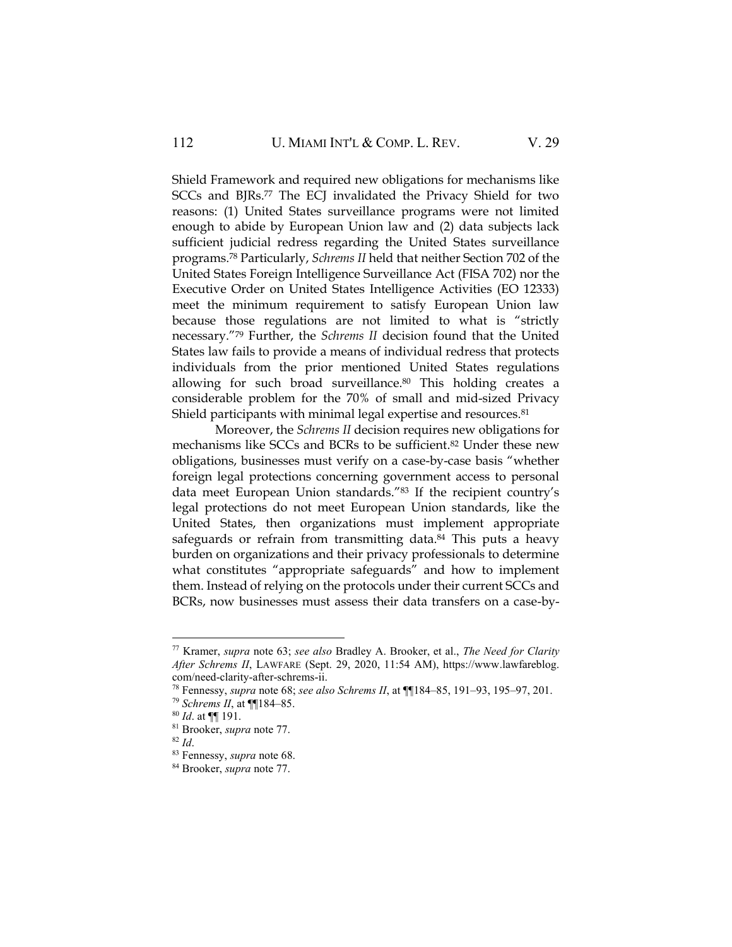Shield Framework and required new obligations for mechanisms like SCCs and BJRs.<sup>77</sup> The ECJ invalidated the Privacy Shield for two reasons: (1) United States surveillance programs were not limited enough to abide by European Union law and (2) data subjects lack sufficient judicial redress regarding the United States surveillance programs.<sup>78</sup> Particularly, *Schrems II* held that neither Section 702 of the United States Foreign Intelligence Surveillance Act (FISA 702) nor the Executive Order on United States Intelligence Activities (EO 12333) meet the minimum requirement to satisfy European Union law because those regulations are not limited to what is "strictly necessary."<sup>79</sup> Further, the *Schrems II* decision found that the United States law fails to provide a means of individual redress that protects individuals from the prior mentioned United States regulations allowing for such broad surveillance.<sup>80</sup> This holding creates a considerable problem for the 70% of small and mid-sized Privacy Shield participants with minimal legal expertise and resources.<sup>81</sup>

Moreover, the *Schrems II* decision requires new obligations for mechanisms like SCCs and BCRs to be sufficient.<sup>82</sup> Under these new obligations, businesses must verify on a case-by-case basis "whether foreign legal protections concerning government access to personal data meet European Union standards."83 If the recipient country's legal protections do not meet European Union standards, like the United States, then organizations must implement appropriate safeguards or refrain from transmitting data.<sup>84</sup> This puts a heavy burden on organizations and their privacy professionals to determine what constitutes "appropriate safeguards" and how to implement them. Instead of relying on the protocols under their current SCCs and BCRs, now businesses must assess their data transfers on a case-by-

<sup>77</sup> Kramer, *supra* note 63; *see also* Bradley A. Brooker, et al., *The Need for Clarity After Schrems II*, LAWFARE (Sept. 29, 2020, 11:54 AM), https://www.lawfareblog. com/need-clarity-after-schrems-ii.

<sup>78</sup> Fennessy, *supra* note 68; *see also Schrems II*, at ¶¶184–85, 191–93, 195–97, 201.

<sup>79</sup> *Schrems II*, at ¶¶184–85.

<sup>80</sup> *Id*. at ¶¶ 191.

<sup>81</sup> Brooker, *supra* note 77.

 $82$  *Id.* 

<sup>83</sup> Fennessy, *supra* note 68.

<sup>84</sup> Brooker, *supra* note 77.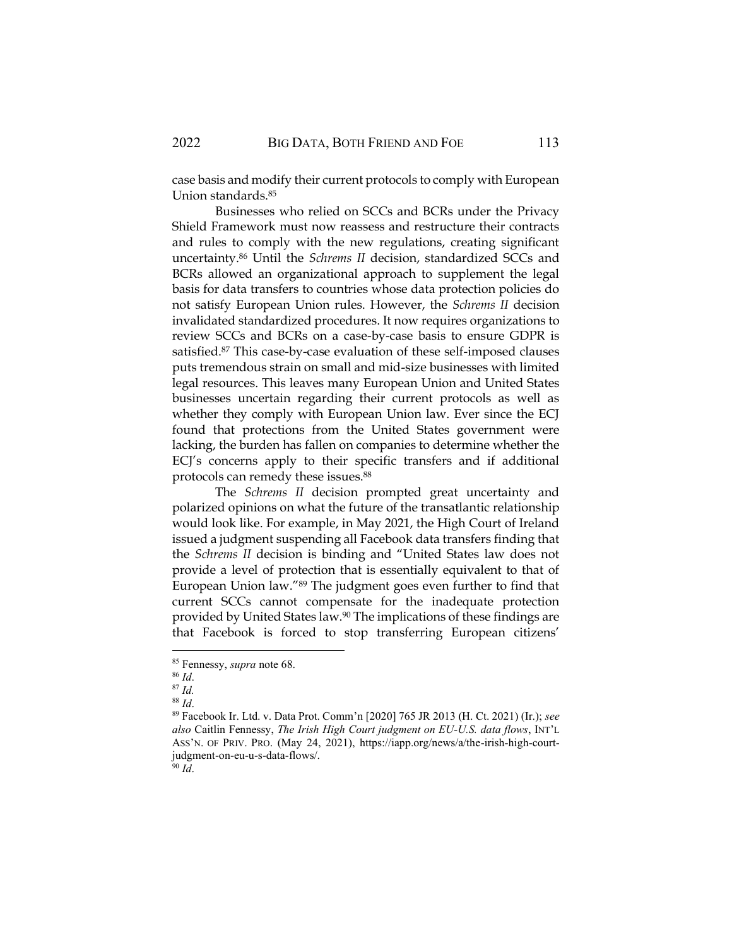case basis and modify their current protocols to comply with European Union standards.<sup>85</sup>

Businesses who relied on SCCs and BCRs under the Privacy Shield Framework must now reassess and restructure their contracts and rules to comply with the new regulations, creating significant uncertainty.<sup>86</sup> Until the *Schrems II* decision, standardized SCCs and BCRs allowed an organizational approach to supplement the legal basis for data transfers to countries whose data protection policies do not satisfy European Union rules. However, the *Schrems II* decision invalidated standardized procedures. It now requires organizations to review SCCs and BCRs on a case-by-case basis to ensure GDPR is satisfied.<sup>87</sup> This case-by-case evaluation of these self-imposed clauses puts tremendous strain on small and mid-size businesses with limited legal resources. This leaves many European Union and United States businesses uncertain regarding their current protocols as well as whether they comply with European Union law. Ever since the ECJ found that protections from the United States government were lacking, the burden has fallen on companies to determine whether the ECJ's concerns apply to their specific transfers and if additional protocols can remedy these issues.<sup>88</sup>

The *Schrems II* decision prompted great uncertainty and polarized opinions on what the future of the transatlantic relationship would look like. For example, in May 2021, the High Court of Ireland issued a judgment suspending all Facebook data transfers finding that the *Schrems II* decision is binding and "United States law does not provide a level of protection that is essentially equivalent to that of European Union law."<sup>89</sup> The judgment goes even further to find that current SCCs cannot compensate for the inadequate protection provided by United States law.<sup>90</sup> The implications of these findings are that Facebook is forced to stop transferring European citizens'

<sup>87</sup> *Id.*

 $^{90}$  *Id*.

<sup>85</sup> Fennessy, *supra* note 68.

<sup>86</sup> *Id*.

<sup>88</sup> *Id*.

<sup>89</sup> Facebook Ir. Ltd. v. Data Prot. Comm'n [2020] 765 JR 2013 (H. Ct. 2021) (Ir.); *see also* Caitlin Fennessy, *The Irish High Court judgment on EU-U.S. data flows*, INT'L ASS'N. OF PRIV. PRO. (May 24, 2021), https://iapp.org/news/a/the-irish-high-courtjudgment-on-eu-u-s-data-flows/.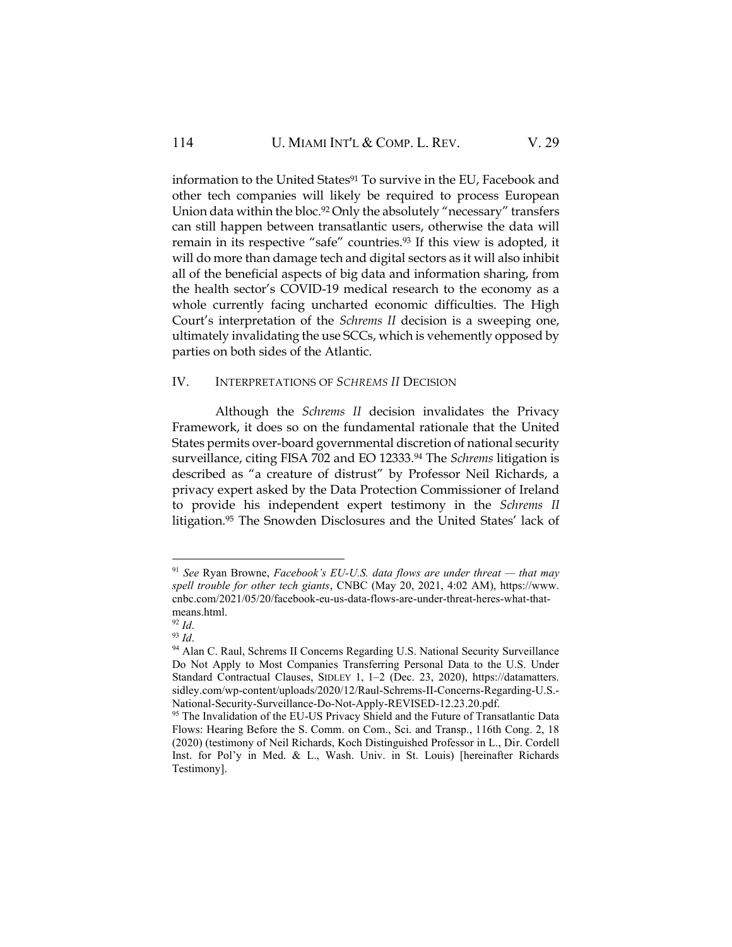information to the United States<sup>91</sup> To survive in the EU, Facebook and other tech companies will likely be required to process European Union data within the bloc.<sup>92</sup> Only the absolutely "necessary" transfers can still happen between transatlantic users, otherwise the data will remain in its respective "safe" countries.<sup>93</sup> If this view is adopted, it will do more than damage tech and digital sectors as it will also inhibit all of the beneficial aspects of big data and information sharing, from the health sector's COVID-19 medical research to the economy as a whole currently facing uncharted economic difficulties. The High Court's interpretation of the *Schrems II* decision is a sweeping one, ultimately invalidating the use SCCs, which is vehemently opposed by parties on both sides of the Atlantic.

## IV. INTERPRETATIONS OF *SCHREMS II* DECISION

Although the *Schrems II* decision invalidates the Privacy Framework, it does so on the fundamental rationale that the United States permits over-board governmental discretion of national security surveillance, citing FISA 702 and EO 12333.<sup>94</sup> The *Schrems* litigation is described as "a creature of distrust" by Professor Neil Richards, a privacy expert asked by the Data Protection Commissioner of Ireland to provide his independent expert testimony in the *Schrems II* litigation.<sup>95</sup> The Snowden Disclosures and the United States' lack of

<sup>&</sup>lt;sup>91</sup> See Ryan Browne, *Facebook*'s *EU-U.S.* data flows are under threat — that may *spell trouble for other tech giants*, CNBC (May 20, 2021, 4:02 AM), https://www. cnbc.com/2021/05/20/facebook-eu-us-data-flows-are-under-threat-heres-what-thatmeans.html.

<sup>92</sup> *Id*.

<sup>93</sup> *Id*.

<sup>&</sup>lt;sup>94</sup> Alan C. Raul, Schrems II Concerns Regarding U.S. National Security Surveillance Do Not Apply to Most Companies Transferring Personal Data to the U.S. Under Standard Contractual Clauses, SIDLEY 1, 1–2 (Dec. 23, 2020), https://datamatters. sidley.com/wp-content/uploads/2020/12/Raul-Schrems-II-Concerns-Regarding-U.S.- National-Security-Surveillance-Do-Not-Apply-REVISED-12.23.20.pdf.

<sup>&</sup>lt;sup>95</sup> The Invalidation of the EU-US Privacy Shield and the Future of Transatlantic Data Flows: Hearing Before the S. Comm. on Com., Sci. and Transp., 116th Cong. 2, 18 (2020) (testimony of Neil Richards, Koch Distinguished Professor in L., Dir. Cordell Inst. for Pol'y in Med. & L., Wash. Univ. in St. Louis) [hereinafter Richards Testimony].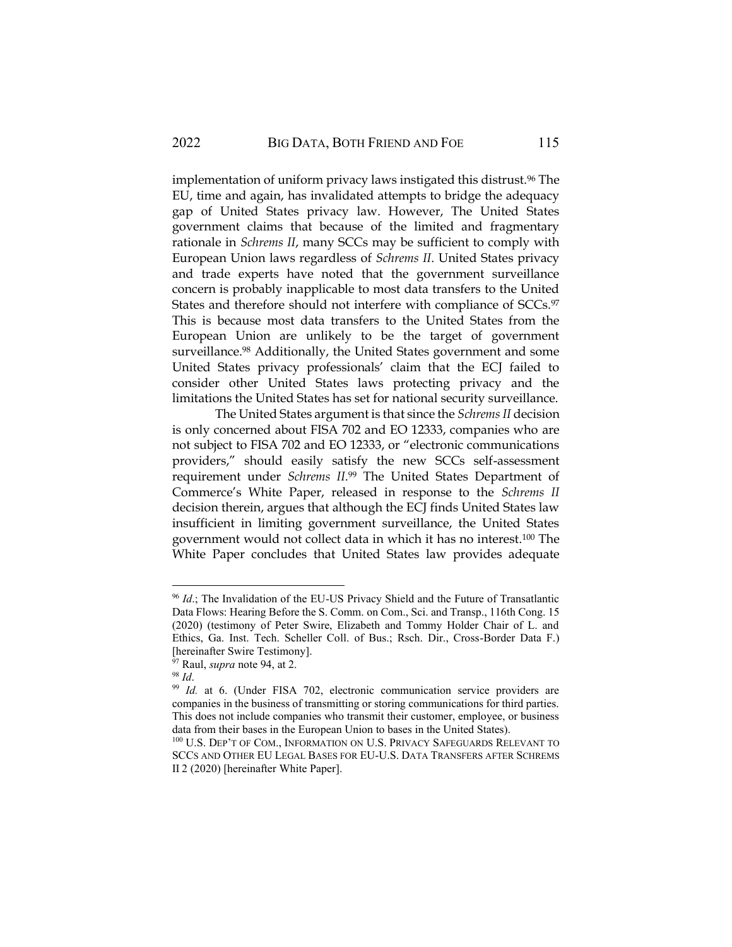implementation of uniform privacy laws instigated this distrust.<sup>96</sup> The EU, time and again, has invalidated attempts to bridge the adequacy gap of United States privacy law. However, The United States government claims that because of the limited and fragmentary rationale in *Schrems II*, many SCCs may be sufficient to comply with European Union laws regardless of *Schrems II*. United States privacy and trade experts have noted that the government surveillance concern is probably inapplicable to most data transfers to the United States and therefore should not interfere with compliance of SCCs.97 This is because most data transfers to the United States from the European Union are unlikely to be the target of government surveillance.<sup>98</sup> Additionally, the United States government and some United States privacy professionals' claim that the ECJ failed to consider other United States laws protecting privacy and the limitations the United States has set for national security surveillance.

The United States argument is that since the *Schrems II* decision is only concerned about FISA 702 and EO 12333, companies who are not subject to FISA 702 and EO 12333, or "electronic communications providers," should easily satisfy the new SCCs self-assessment requirement under *Schrems II*. <sup>99</sup> The United States Department of Commerce's White Paper, released in response to the *Schrems II*  decision therein, argues that although the ECJ finds United States law insufficient in limiting government surveillance, the United States government would not collect data in which it has no interest.<sup>100</sup> The White Paper concludes that United States law provides adequate

<sup>96</sup> *Id*.; The Invalidation of the EU-US Privacy Shield and the Future of Transatlantic Data Flows: Hearing Before the S. Comm. on Com., Sci. and Transp., 116th Cong. 15 (2020) (testimony of Peter Swire, Elizabeth and Tommy Holder Chair of L. and Ethics, Ga. Inst. Tech. Scheller Coll. of Bus.; Rsch. Dir., Cross-Border Data F.) [hereinafter Swire Testimony].

<sup>&</sup>lt;sup>97</sup> Raul, *supra* note 94, at 2.

<sup>98</sup> *Id*.

<sup>&</sup>lt;sup>99</sup> *Id.* at 6. (Under FISA 702, electronic communication service providers are companies in the business of transmitting or storing communications for third parties. This does not include companies who transmit their customer, employee, or business data from their bases in the European Union to bases in the United States).

<sup>100</sup> U.S. DEP'T OF COM., INFORMATION ON U.S. PRIVACY SAFEGUARDS RELEVANT TO SCCS AND OTHER EU LEGAL BASES FOR EU-U.S. DATA TRANSFERS AFTER SCHREMS II 2 (2020) [hereinafter White Paper].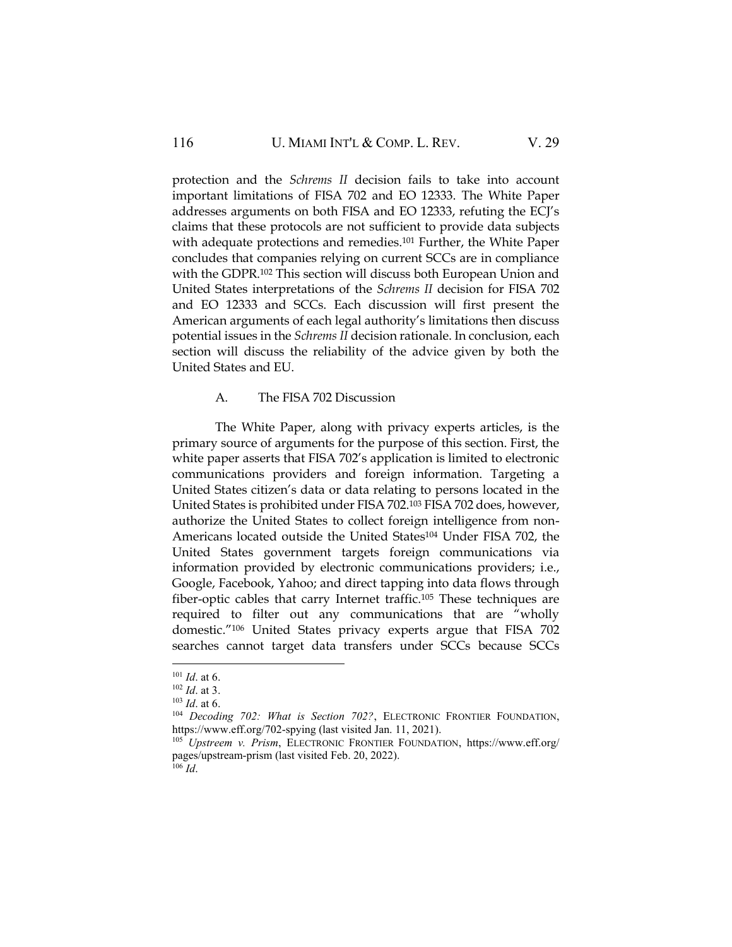protection and the *Schrems II* decision fails to take into account important limitations of FISA 702 and EO 12333. The White Paper addresses arguments on both FISA and EO 12333, refuting the ECJ's claims that these protocols are not sufficient to provide data subjects with adequate protections and remedies.<sup>101</sup> Further, the White Paper concludes that companies relying on current SCCs are in compliance with the GDPR.<sup>102</sup> This section will discuss both European Union and United States interpretations of the *Schrems II* decision for FISA 702 and EO 12333 and SCCs. Each discussion will first present the American arguments of each legal authority's limitations then discuss potential issues in the *Schrems II* decision rationale. In conclusion, each section will discuss the reliability of the advice given by both the United States and EU.

#### A. The FISA 702 Discussion

The White Paper, along with privacy experts articles, is the primary source of arguments for the purpose of this section. First, the white paper asserts that FISA 702's application is limited to electronic communications providers and foreign information. Targeting a United States citizen's data or data relating to persons located in the United States is prohibited under FISA 702.<sup>103</sup> FISA 702 does, however, authorize the United States to collect foreign intelligence from non-Americans located outside the United States<sup>104</sup> Under FISA 702, the United States government targets foreign communications via information provided by electronic communications providers; i.e., Google, Facebook, Yahoo; and direct tapping into data flows through fiber-optic cables that carry Internet traffic.<sup>105</sup> These techniques are required to filter out any communications that are "wholly domestic."<sup>106</sup> United States privacy experts argue that FISA 702 searches cannot target data transfers under SCCs because SCCs

<sup>101</sup> *Id*. at 6.

<sup>102</sup> *Id*. at 3.

<sup>103</sup> *Id*. at 6.

<sup>&</sup>lt;sup>104</sup> *Decoding 702: What is Section 702?*, ELECTRONIC FRONTIER FOUNDATION, https://www.eff.org/702-spying (last visited Jan. 11, 2021).

<sup>105</sup> *Upstreem v. Prism*, ELECTRONIC FRONTIER FOUNDATION, https://www.eff.org/ pages/upstream-prism (last visited Feb. 20, 2022).  $^{106}$  *Id.*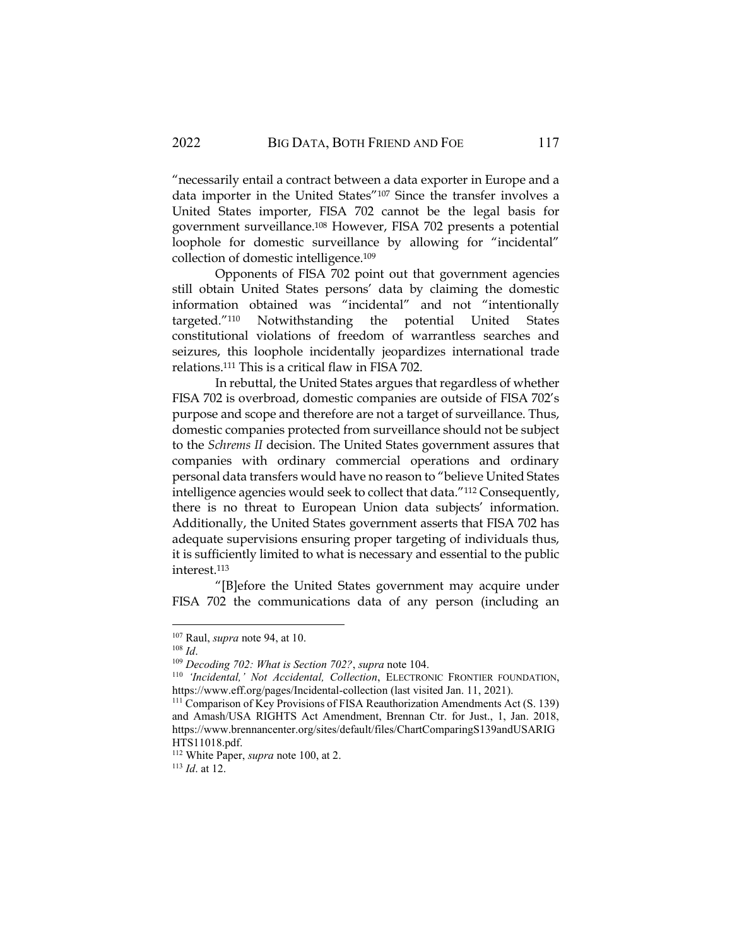"necessarily entail a contract between a data exporter in Europe and a data importer in the United States"<sup>107</sup> Since the transfer involves a United States importer, FISA 702 cannot be the legal basis for government surveillance.<sup>108</sup> However, FISA 702 presents a potential loophole for domestic surveillance by allowing for "incidental" collection of domestic intelligence.<sup>109</sup>

Opponents of FISA 702 point out that government agencies still obtain United States persons' data by claiming the domestic information obtained was "incidental" and not "intentionally targeted."<sup>110</sup> Notwithstanding the potential United States constitutional violations of freedom of warrantless searches and seizures, this loophole incidentally jeopardizes international trade relations.<sup>111</sup> This is a critical flaw in FISA 702.

In rebuttal, the United States argues that regardless of whether FISA 702 is overbroad, domestic companies are outside of FISA 702's purpose and scope and therefore are not a target of surveillance. Thus, domestic companies protected from surveillance should not be subject to the *Schrems II* decision. The United States government assures that companies with ordinary commercial operations and ordinary personal data transfers would have no reason to "believe United States intelligence agencies would seek to collect that data."<sup>112</sup> Consequently, there is no threat to European Union data subjects' information. Additionally, the United States government asserts that FISA 702 has adequate supervisions ensuring proper targeting of individuals thus, it is sufficiently limited to what is necessary and essential to the public interest.<sup>113</sup>

"[B]efore the United States government may acquire under FISA 702 the communications data of any person (including an

<sup>107</sup> Raul, *supra* note 94, at 10.

<sup>108</sup> *Id*.

<sup>109</sup> *Decoding 702: What is Section 702?*, *supra* note 104.

<sup>110</sup> *'Incidental,' Not Accidental, Collection*, ELECTRONIC FRONTIER FOUNDATION, https://www.eff.org/pages/Incidental-collection (last visited Jan. 11, 2021).

<sup>&</sup>lt;sup>111</sup> Comparison of Key Provisions of FISA Reauthorization Amendments Act (S. 139) and Amash/USA RIGHTS Act Amendment, Brennan Ctr. for Just., 1, Jan. 2018, https://www.brennancenter.org/sites/default/files/ChartComparingS139andUSARIG HTS11018.pdf.

<sup>112</sup> White Paper, *supra* note 100, at 2.

<sup>113</sup> *Id*. at 12.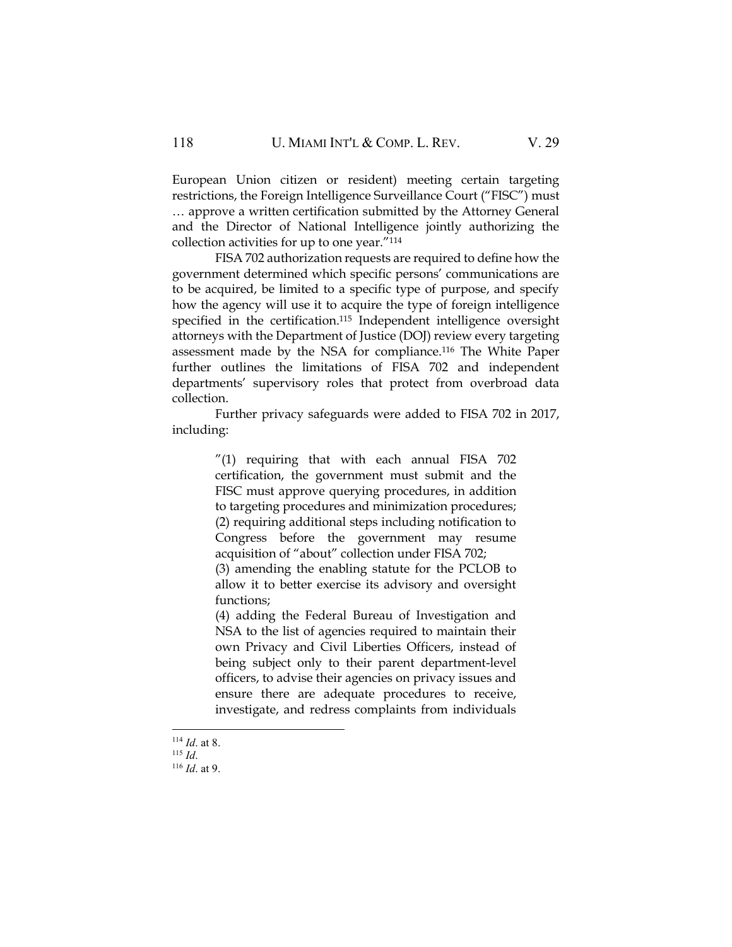European Union citizen or resident) meeting certain targeting restrictions, the Foreign Intelligence Surveillance Court ("FISC") must … approve a written certification submitted by the Attorney General and the Director of National Intelligence jointly authorizing the collection activities for up to one year."<sup>114</sup>

FISA 702 authorization requests are required to define how the government determined which specific persons' communications are to be acquired, be limited to a specific type of purpose, and specify how the agency will use it to acquire the type of foreign intelligence specified in the certification.<sup>115</sup> Independent intelligence oversight attorneys with the Department of Justice (DOJ) review every targeting assessment made by the NSA for compliance.<sup>116</sup> The White Paper further outlines the limitations of FISA 702 and independent departments' supervisory roles that protect from overbroad data collection.

Further privacy safeguards were added to FISA 702 in 2017, including:

> "(1) requiring that with each annual FISA 702 certification, the government must submit and the FISC must approve querying procedures, in addition to targeting procedures and minimization procedures; (2) requiring additional steps including notification to Congress before the government may resume acquisition of "about" collection under FISA 702; (3) amending the enabling statute for the PCLOB to

> allow it to better exercise its advisory and oversight functions;

> (4) adding the Federal Bureau of Investigation and NSA to the list of agencies required to maintain their own Privacy and Civil Liberties Officers, instead of being subject only to their parent department-level officers, to advise their agencies on privacy issues and ensure there are adequate procedures to receive, investigate, and redress complaints from individuals

<sup>114</sup> *Id*. at 8.

<sup>115</sup> *Id*.

<sup>116</sup> *Id*. at 9.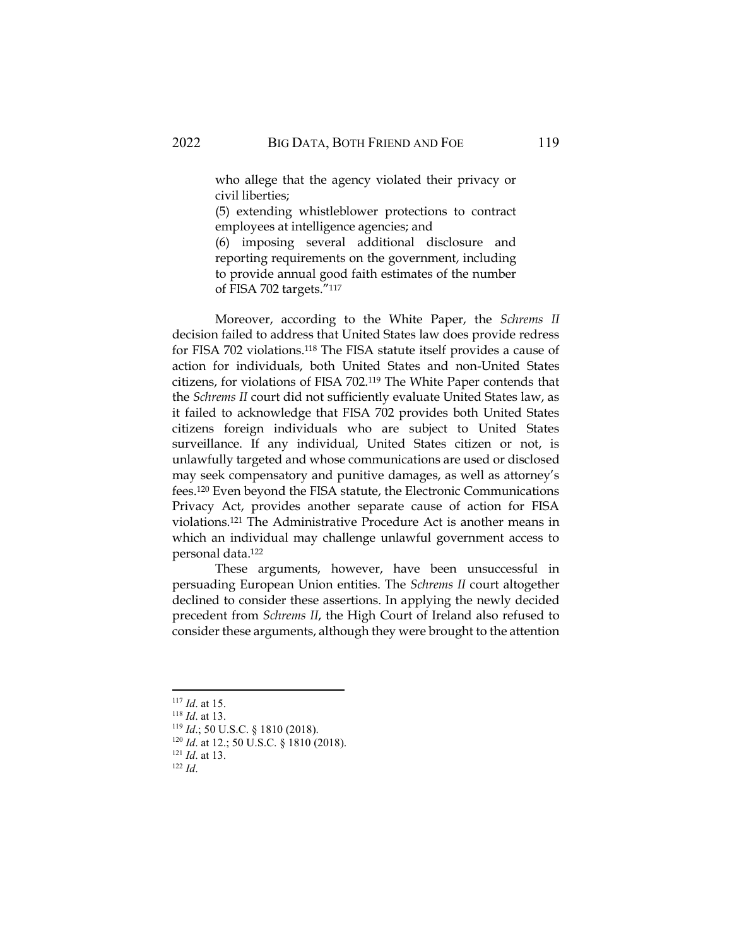who allege that the agency violated their privacy or civil liberties;

(5) extending whistleblower protections to contract employees at intelligence agencies; and

(6) imposing several additional disclosure and reporting requirements on the government, including to provide annual good faith estimates of the number of FISA 702 targets."<sup>117</sup>

Moreover, according to the White Paper, the *Schrems II* decision failed to address that United States law does provide redress for FISA 702 violations.<sup>118</sup> The FISA statute itself provides a cause of action for individuals, both United States and non-United States citizens, for violations of FISA 702.<sup>119</sup> The White Paper contends that the *Schrems II* court did not sufficiently evaluate United States law, as it failed to acknowledge that FISA 702 provides both United States citizens foreign individuals who are subject to United States surveillance. If any individual, United States citizen or not, is unlawfully targeted and whose communications are used or disclosed may seek compensatory and punitive damages, as well as attorney's fees.<sup>120</sup> Even beyond the FISA statute, the Electronic Communications Privacy Act, provides another separate cause of action for FISA violations.<sup>121</sup> The Administrative Procedure Act is another means in which an individual may challenge unlawful government access to personal data.<sup>122</sup>

These arguments, however, have been unsuccessful in persuading European Union entities. The *Schrems II* court altogether declined to consider these assertions. In applying the newly decided precedent from *Schrems II*, the High Court of Ireland also refused to consider these arguments, although they were brought to the attention

<sup>119</sup> *Id*.; 50 U.S.C. § 1810 (2018).

<sup>117</sup> *Id*. at 15.

<sup>118</sup> *Id*. at 13.

<sup>&</sup>lt;sup>120</sup> *Id.* at 12.; 50 U.S.C. § 1810 (2018).

<sup>121</sup> *Id*. at 13.

<sup>122</sup> *Id*.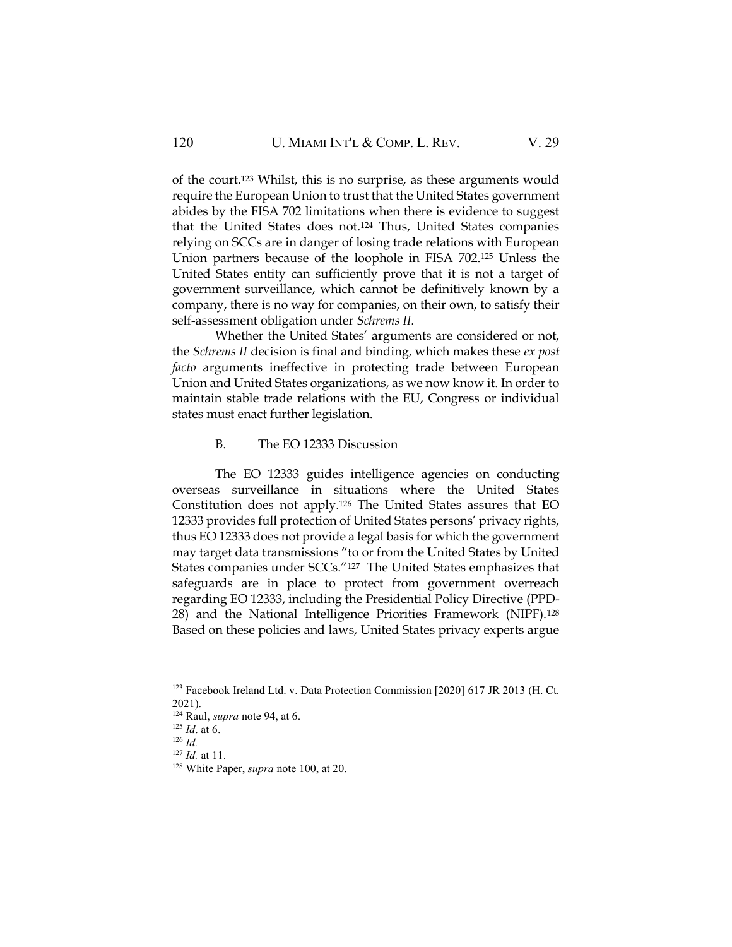of the court.<sup>123</sup> Whilst, this is no surprise, as these arguments would require the European Union to trust that the United States government abides by the FISA 702 limitations when there is evidence to suggest that the United States does not.<sup>124</sup> Thus, United States companies relying on SCCs are in danger of losing trade relations with European Union partners because of the loophole in FISA 702.<sup>125</sup> Unless the United States entity can sufficiently prove that it is not a target of government surveillance, which cannot be definitively known by a company, there is no way for companies, on their own, to satisfy their self-assessment obligation under *Schrems II*.

Whether the United States' arguments are considered or not, the *Schrems II* decision is final and binding, which makes these *ex post facto* arguments ineffective in protecting trade between European Union and United States organizations, as we now know it. In order to maintain stable trade relations with the EU, Congress or individual states must enact further legislation.

## B. The EO 12333 Discussion

The EO 12333 guides intelligence agencies on conducting overseas surveillance in situations where the United States Constitution does not apply.<sup>126</sup> The United States assures that EO 12333 provides full protection of United States persons' privacy rights, thus EO 12333 does not provide a legal basis for which the government may target data transmissions "to or from the United States by United States companies under SCCs."127 The United States emphasizes that safeguards are in place to protect from government overreach regarding EO 12333, including the Presidential Policy Directive (PPD-28) and the National Intelligence Priorities Framework (NIPF).<sup>128</sup> Based on these policies and laws, United States privacy experts argue

<sup>123</sup> Facebook Ireland Ltd. v. Data Protection Commission [2020] 617 JR 2013 (H. Ct. 2021).

<sup>124</sup> Raul, *supra* note 94, at 6.

<sup>125</sup> *Id*. at 6.

<sup>126</sup> *Id.*

<sup>127</sup> *Id.* at 11.

<sup>128</sup> White Paper, *supra* note 100, at 20.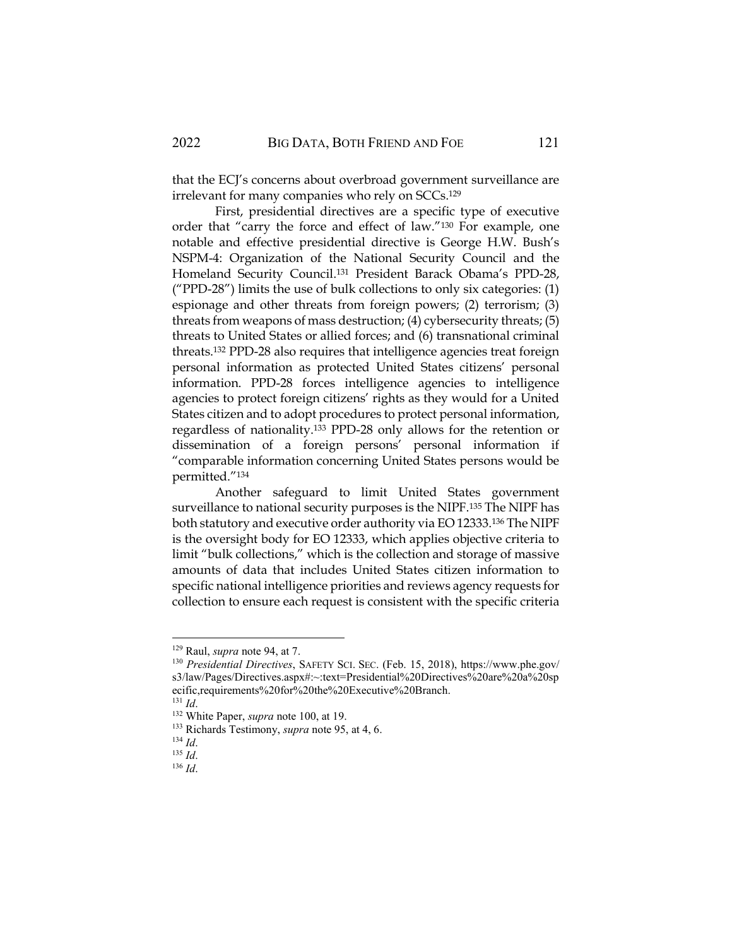that the ECJ's concerns about overbroad government surveillance are irrelevant for many companies who rely on SCCs.<sup>129</sup>

First, presidential directives are a specific type of executive order that "carry the force and effect of law."<sup>130</sup> For example, one notable and effective presidential directive is George H.W. Bush's NSPM-4: Organization of the National Security Council and the Homeland Security Council.<sup>131</sup> President Barack Obama's PPD-28, ("PPD-28") limits the use of bulk collections to only six categories: (1) espionage and other threats from foreign powers; (2) terrorism; (3) threats from weapons of mass destruction; (4) cybersecurity threats; (5) threats to United States or allied forces; and (6) transnational criminal threats.<sup>132</sup> PPD-28 also requires that intelligence agencies treat foreign personal information as protected United States citizens' personal information. PPD-28 forces intelligence agencies to intelligence agencies to protect foreign citizens' rights as they would for a United States citizen and to adopt procedures to protect personal information, regardless of nationality.<sup>133</sup> PPD-28 only allows for the retention or dissemination of a foreign persons' personal information if "comparable information concerning United States persons would be permitted."<sup>134</sup>

Another safeguard to limit United States government surveillance to national security purposes is the NIPF.<sup>135</sup> The NIPF has both statutory and executive order authority via EO 12333.<sup>136</sup> The NIPF is the oversight body for EO 12333, which applies objective criteria to limit "bulk collections," which is the collection and storage of massive amounts of data that includes United States citizen information to specific national intelligence priorities and reviews agency requests for collection to ensure each request is consistent with the specific criteria

<sup>129</sup> Raul, *supra* note 94, at 7.

<sup>130</sup> *Presidential Directives*, SAFETY SCI. SEC. (Feb. 15, 2018), https://www.phe.gov/ s3/law/Pages/Directives.aspx#:~:text=Presidential%20Directives%20are%20a%20sp ecific,requirements%20for%20the%20Executive%20Branch.

<sup>131</sup> *Id*.

<sup>132</sup> White Paper, *supra* note 100, at 19.

<sup>133</sup> Richards Testimony, *supra* note 95, at 4, 6.

<sup>134</sup> *Id*.

<sup>135</sup> *Id*.

<sup>136</sup> *Id*.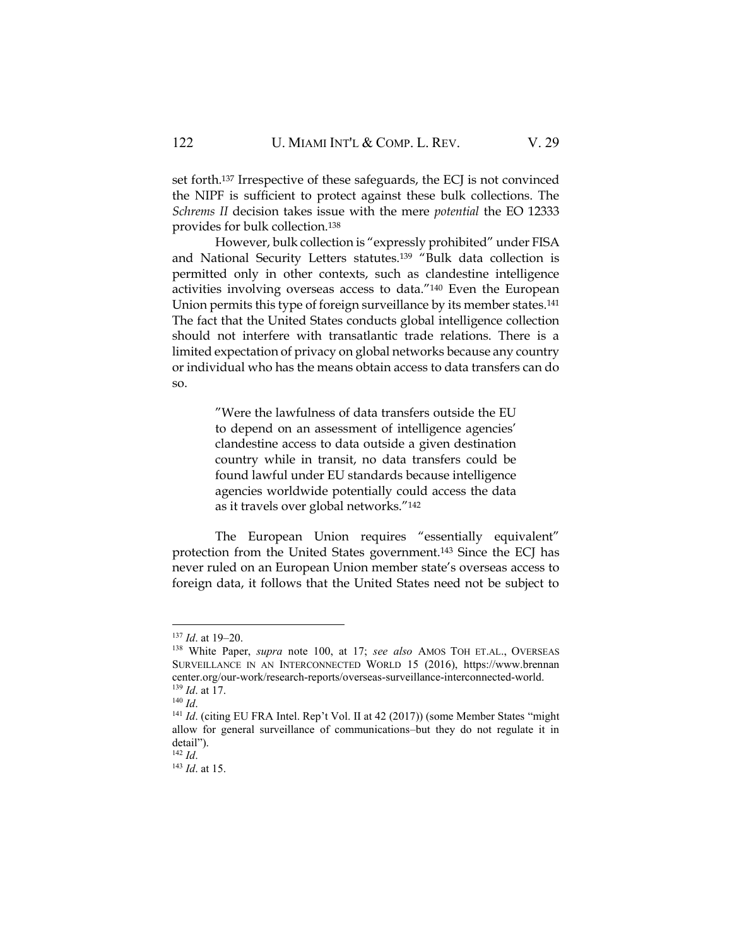set forth.<sup>137</sup> Irrespective of these safeguards, the ECJ is not convinced the NIPF is sufficient to protect against these bulk collections. The *Schrems II* decision takes issue with the mere *potential* the EO 12333 provides for bulk collection.<sup>138</sup>

However, bulk collection is "expressly prohibited" under FISA and National Security Letters statutes.<sup>139</sup> "Bulk data collection is permitted only in other contexts, such as clandestine intelligence activities involving overseas access to data."<sup>140</sup> Even the European Union permits this type of foreign surveillance by its member states.<sup>141</sup> The fact that the United States conducts global intelligence collection should not interfere with transatlantic trade relations. There is a limited expectation of privacy on global networks because any country or individual who has the means obtain access to data transfers can do so.

> "Were the lawfulness of data transfers outside the EU to depend on an assessment of intelligence agencies' clandestine access to data outside a given destination country while in transit, no data transfers could be found lawful under EU standards because intelligence agencies worldwide potentially could access the data as it travels over global networks."<sup>142</sup>

The European Union requires "essentially equivalent" protection from the United States government.<sup>143</sup> Since the ECJ has never ruled on an European Union member state's overseas access to foreign data, it follows that the United States need not be subject to

<sup>137</sup> *Id*. at 19–20.

<sup>138</sup> White Paper, *supra* note 100, at 17; *see also* AMOS TOH ET.AL., OVERSEAS SURVEILLANCE IN AN INTERCONNECTED WORLD 15 (2016), https://www.brennan center.org/our-work/research-reports/overseas-surveillance-interconnected-world. <sup>139</sup> *Id*. at 17.

<sup>140</sup> *Id*.

<sup>&</sup>lt;sup>141</sup> *Id.* (citing EU FRA Intel. Rep't Vol. II at 42 (2017)) (some Member States "might" allow for general surveillance of communications–but they do not regulate it in detail").  $142$  *Id.* 

<sup>143</sup> *Id*. at 15.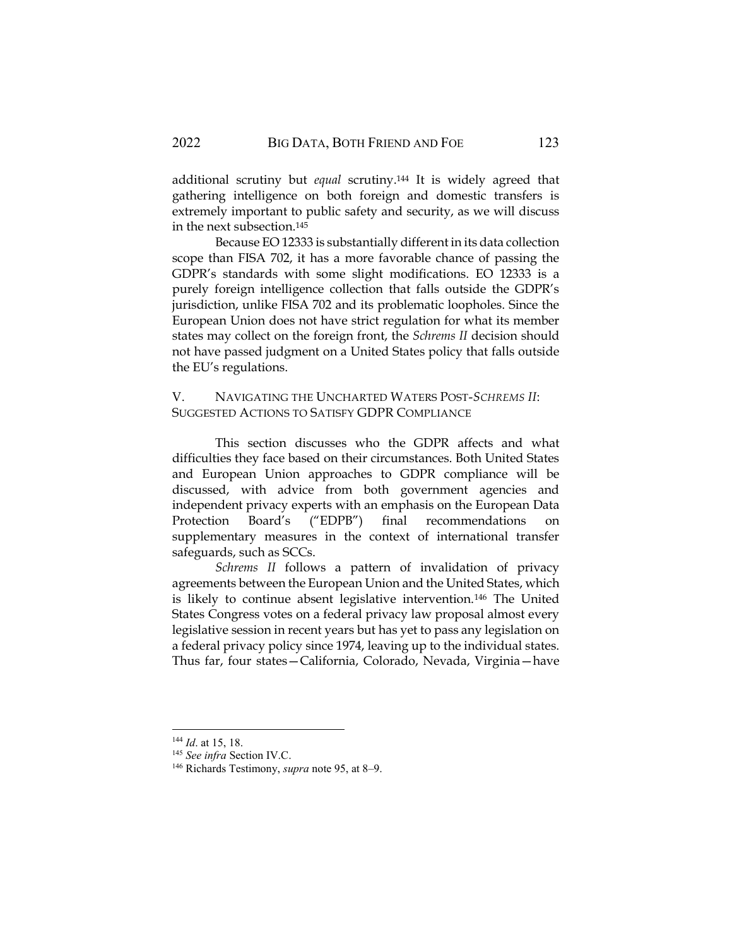additional scrutiny but *equal* scrutiny.<sup>144</sup> It is widely agreed that gathering intelligence on both foreign and domestic transfers is extremely important to public safety and security, as we will discuss in the next subsection.<sup>145</sup>

Because EO 12333 is substantially different in its data collection scope than FISA 702, it has a more favorable chance of passing the GDPR's standards with some slight modifications. EO 12333 is a purely foreign intelligence collection that falls outside the GDPR's jurisdiction, unlike FISA 702 and its problematic loopholes. Since the European Union does not have strict regulation for what its member states may collect on the foreign front, the *Schrems II* decision should not have passed judgment on a United States policy that falls outside the EU's regulations.

V. NAVIGATING THE UNCHARTED WATERS POST-*SCHREMS II*: SUGGESTED ACTIONS TO SATISFY GDPR COMPLIANCE

This section discusses who the GDPR affects and what difficulties they face based on their circumstances. Both United States and European Union approaches to GDPR compliance will be discussed, with advice from both government agencies and independent privacy experts with an emphasis on the European Data Protection Board's ("EDPB") final recommendations supplementary measures in the context of international transfer safeguards, such as SCCs.

*Schrems II* follows a pattern of invalidation of privacy agreements between the European Union and the United States, which is likely to continue absent legislative intervention.<sup>146</sup> The United States Congress votes on a federal privacy law proposal almost every legislative session in recent years but has yet to pass any legislation on a federal privacy policy since 1974, leaving up to the individual states. Thus far, four states—California, Colorado, Nevada, Virginia—have

<sup>144</sup> *Id*. at 15, 18.

<sup>145</sup> *See infra* Section IV.C.

<sup>146</sup> Richards Testimony, *supra* note 95, at 8–9.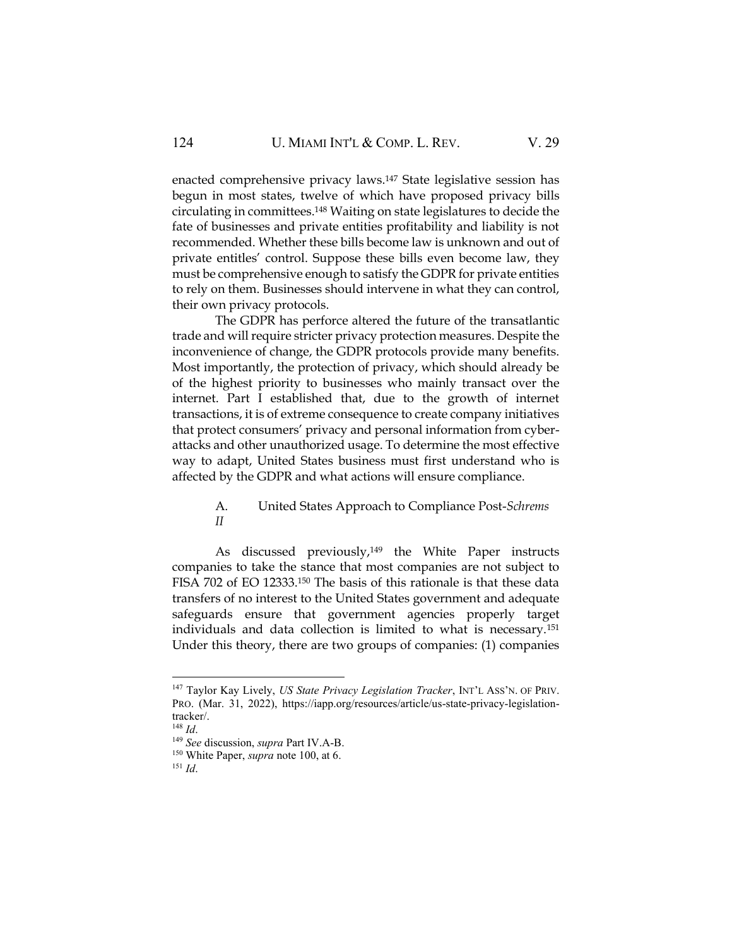enacted comprehensive privacy laws.<sup>147</sup> State legislative session has begun in most states, twelve of which have proposed privacy bills circulating in committees.<sup>148</sup> Waiting on state legislatures to decide the fate of businesses and private entities profitability and liability is not recommended. Whether these bills become law is unknown and out of private entitles' control. Suppose these bills even become law, they must be comprehensive enough to satisfy the GDPR for private entities to rely on them. Businesses should intervene in what they can control, their own privacy protocols.

The GDPR has perforce altered the future of the transatlantic trade and will require stricter privacy protection measures. Despite the inconvenience of change, the GDPR protocols provide many benefits. Most importantly, the protection of privacy, which should already be of the highest priority to businesses who mainly transact over the internet. Part I established that, due to the growth of internet transactions, it is of extreme consequence to create company initiatives that protect consumers' privacy and personal information from cyberattacks and other unauthorized usage. To determine the most effective way to adapt, United States business must first understand who is affected by the GDPR and what actions will ensure compliance.

## A. United States Approach to Compliance Post-*Schrems II*

As discussed previously,<sup>149</sup> the White Paper instructs companies to take the stance that most companies are not subject to FISA 702 of EO 12333.<sup>150</sup> The basis of this rationale is that these data transfers of no interest to the United States government and adequate safeguards ensure that government agencies properly target individuals and data collection is limited to what is necessary.<sup>151</sup> Under this theory, there are two groups of companies: (1) companies

<sup>147</sup> Taylor Kay Lively, *US State Privacy Legislation Tracker*, INT'L ASS'N. OF PRIV. PRO. (Mar. 31, 2022), https://iapp.org/resources/article/us-state-privacy-legislationtracker/.

<sup>148</sup> *Id*.

<sup>149</sup> *See* discussion, *supra* Part IV.A-B.

<sup>150</sup> White Paper, *supra* note 100, at 6.

<sup>151</sup> *Id*.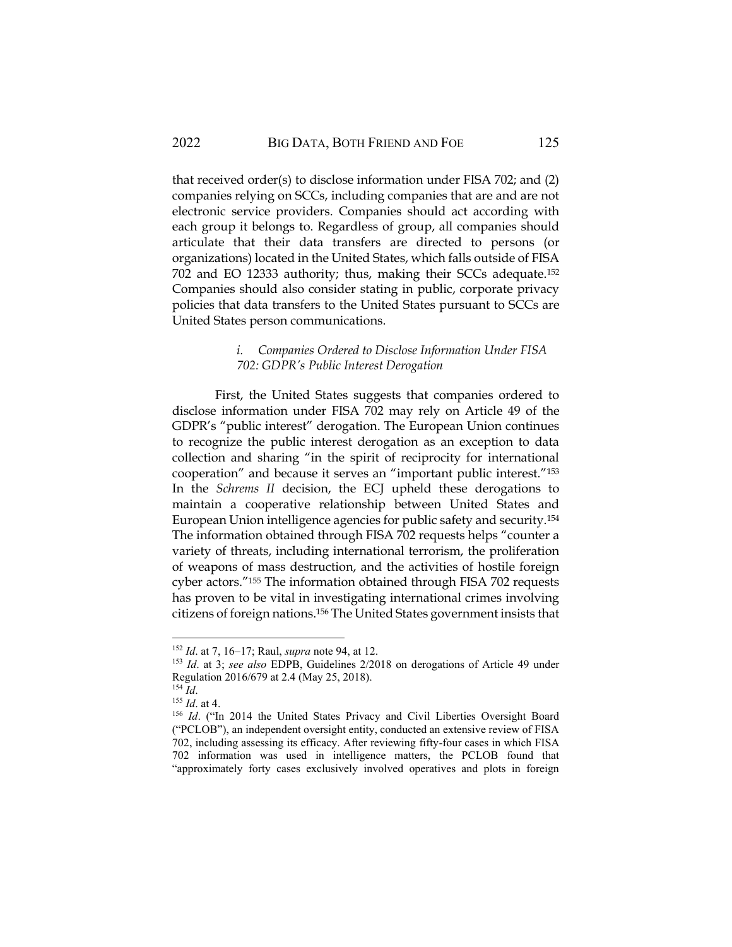that received order(s) to disclose information under FISA 702; and (2) companies relying on SCCs, including companies that are and are not electronic service providers. Companies should act according with each group it belongs to. Regardless of group, all companies should articulate that their data transfers are directed to persons (or organizations) located in the United States, which falls outside of FISA 702 and EO 12333 authority; thus, making their SCCs adequate.<sup>152</sup> Companies should also consider stating in public, corporate privacy policies that data transfers to the United States pursuant to SCCs are United States person communications.

## *i. Companies Ordered to Disclose Information Under FISA 702: GDPR's Public Interest Derogation*

First, the United States suggests that companies ordered to disclose information under FISA 702 may rely on Article 49 of the GDPR's "public interest" derogation. The European Union continues to recognize the public interest derogation as an exception to data collection and sharing "in the spirit of reciprocity for international cooperation" and because it serves an "important public interest."<sup>153</sup> In the *Schrems II* decision, the ECJ upheld these derogations to maintain a cooperative relationship between United States and European Union intelligence agencies for public safety and security.<sup>154</sup> The information obtained through FISA 702 requests helps "counter a variety of threats, including international terrorism, the proliferation of weapons of mass destruction, and the activities of hostile foreign cyber actors."<sup>155</sup> The information obtained through FISA 702 requests has proven to be vital in investigating international crimes involving citizens of foreign nations.<sup>156</sup> The United States government insists that

<sup>152</sup> *Id*. at 7, 16–17; Raul, *supra* note 94, at 12.

<sup>153</sup> *Id*. at 3; *see also* EDPB, Guidelines 2/2018 on derogations of Article 49 under Regulation 2016/679 at 2.4 (May 25, 2018).

<sup>154</sup> *Id*.

<sup>155</sup> *Id*. at 4.

<sup>&</sup>lt;sup>156</sup> Id. ("In 2014 the United States Privacy and Civil Liberties Oversight Board ("PCLOB"), an independent oversight entity, conducted an extensive review of FISA 702, including assessing its efficacy. After reviewing fifty-four cases in which FISA 702 information was used in intelligence matters, the PCLOB found that "approximately forty cases exclusively involved operatives and plots in foreign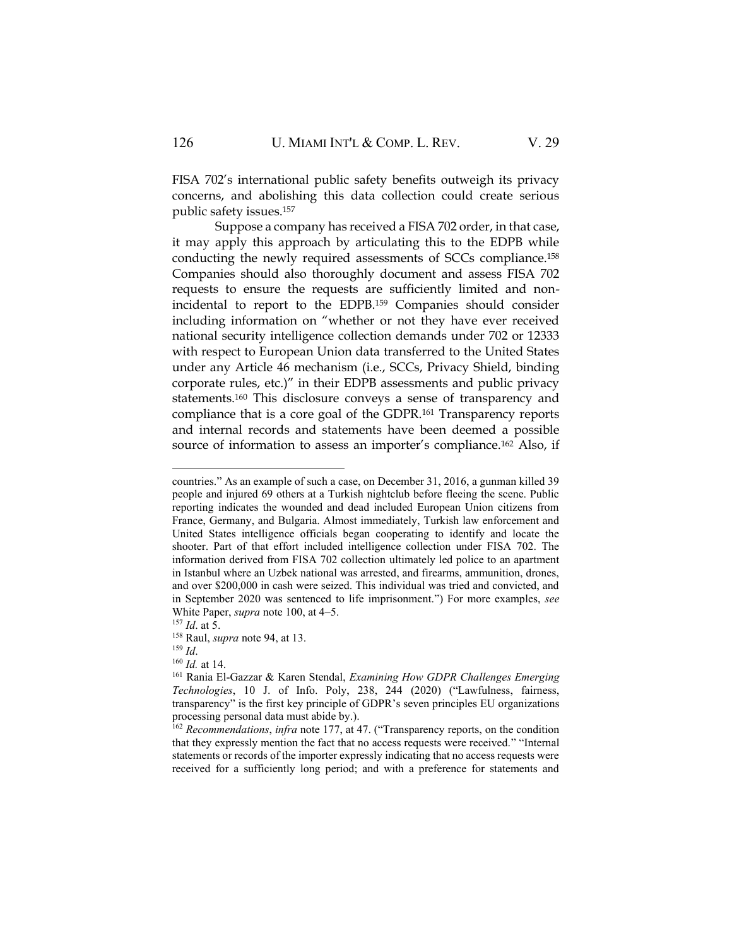FISA 702's international public safety benefits outweigh its privacy concerns, and abolishing this data collection could create serious public safety issues.<sup>157</sup>

Suppose a company has received a FISA 702 order, in that case, it may apply this approach by articulating this to the EDPB while conducting the newly required assessments of SCCs compliance.<sup>158</sup> Companies should also thoroughly document and assess FISA 702 requests to ensure the requests are sufficiently limited and nonincidental to report to the EDPB.<sup>159</sup> Companies should consider including information on "whether or not they have ever received national security intelligence collection demands under 702 or 12333 with respect to European Union data transferred to the United States under any Article 46 mechanism (i.e., SCCs, Privacy Shield, binding corporate rules, etc.)" in their EDPB assessments and public privacy statements.<sup>160</sup> This disclosure conveys a sense of transparency and compliance that is a core goal of the GDPR.<sup>161</sup> Transparency reports and internal records and statements have been deemed a possible source of information to assess an importer's compliance.<sup>162</sup> Also, if

countries." As an example of such a case, on December 31, 2016, a gunman killed 39 people and injured 69 others at a Turkish nightclub before fleeing the scene. Public reporting indicates the wounded and dead included European Union citizens from France, Germany, and Bulgaria. Almost immediately, Turkish law enforcement and United States intelligence officials began cooperating to identify and locate the shooter. Part of that effort included intelligence collection under FISA 702. The information derived from FISA 702 collection ultimately led police to an apartment in Istanbul where an Uzbek national was arrested, and firearms, ammunition, drones, and over \$200,000 in cash were seized. This individual was tried and convicted, and in September 2020 was sentenced to life imprisonment.") For more examples, *see*  White Paper, *supra* note 100, at 4–5.

<sup>157</sup> *Id*. at 5.

<sup>158</sup> Raul, *supra* note 94, at 13.

<sup>159</sup> *Id*.

<sup>160</sup> *Id.* at 14.

<sup>161</sup> Rania El-Gazzar & Karen Stendal, *Examining How GDPR Challenges Emerging Technologies*, 10 J. of Info. Poly, 238, 244 (2020) ("Lawfulness, fairness, transparency" is the first key principle of GDPR's seven principles EU organizations processing personal data must abide by.).

<sup>162</sup> *Recommendations*, *infra* note 177, at 47. ("Transparency reports, on the condition that they expressly mention the fact that no access requests were received." "Internal statements or records of the importer expressly indicating that no access requests were received for a sufficiently long period; and with a preference for statements and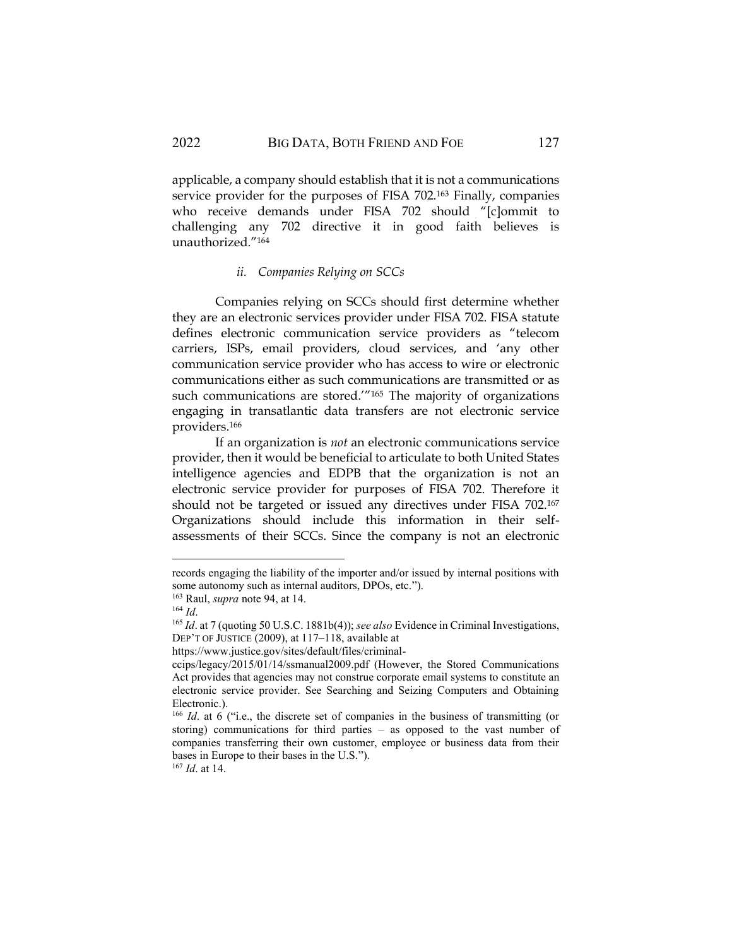applicable, a company should establish that it is not a communications service provider for the purposes of FISA 702.<sup>163</sup> Finally, companies who receive demands under FISA 702 should "[c]ommit to challenging any 702 directive it in good faith believes is unauthorized."<sup>164</sup>

## *ii. Companies Relying on SCCs*

Companies relying on SCCs should first determine whether they are an electronic services provider under FISA 702. FISA statute defines electronic communication service providers as "telecom carriers, ISPs, email providers, cloud services, and 'any other communication service provider who has access to wire or electronic communications either as such communications are transmitted or as such communications are stored.'"<sup>165</sup> The majority of organizations engaging in transatlantic data transfers are not electronic service providers.<sup>166</sup>

If an organization is *not* an electronic communications service provider, then it would be beneficial to articulate to both United States intelligence agencies and EDPB that the organization is not an electronic service provider for purposes of FISA 702. Therefore it should not be targeted or issued any directives under FISA 702.<sup>167</sup> Organizations should include this information in their selfassessments of their SCCs. Since the company is not an electronic

records engaging the liability of the importer and/or issued by internal positions with some autonomy such as internal auditors, DPOs, etc.").

<sup>163</sup> Raul, *supra* note 94, at 14.

<sup>164</sup> *Id*.

<sup>165</sup> *Id*. at 7 (quoting 50 U.S.C. 1881b(4)); *see also* Evidence in Criminal Investigations, DEP'T OF JUSTICE (2009), at 117–118, available at

https://www.justice.gov/sites/default/files/criminal-

ccips/legacy/2015/01/14/ssmanual2009.pdf (However, the Stored Communications Act provides that agencies may not construe corporate email systems to constitute an electronic service provider. See Searching and Seizing Computers and Obtaining Electronic.).

<sup>&</sup>lt;sup>166</sup> *Id*. at 6 ("i.e., the discrete set of companies in the business of transmitting (or storing) communications for third parties – as opposed to the vast number of companies transferring their own customer, employee or business data from their bases in Europe to their bases in the U.S.").

<sup>167</sup> *Id*. at 14.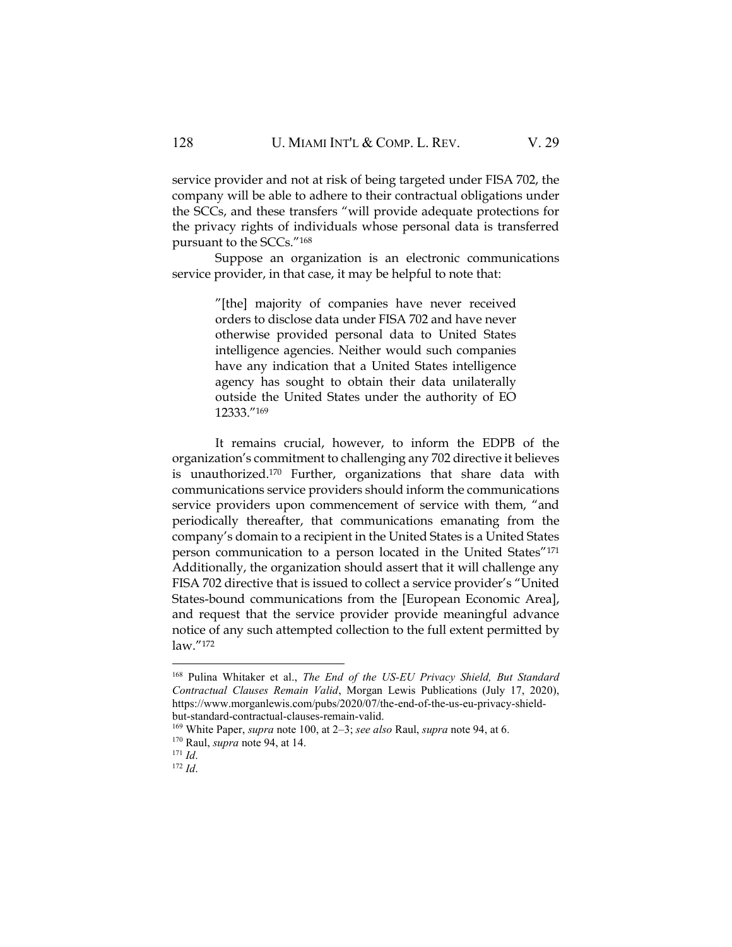service provider and not at risk of being targeted under FISA 702, the company will be able to adhere to their contractual obligations under the SCCs, and these transfers "will provide adequate protections for the privacy rights of individuals whose personal data is transferred pursuant to the SCCs."<sup>168</sup>

Suppose an organization is an electronic communications service provider, in that case, it may be helpful to note that:

> "[the] majority of companies have never received orders to disclose data under FISA 702 and have never otherwise provided personal data to United States intelligence agencies. Neither would such companies have any indication that a United States intelligence agency has sought to obtain their data unilaterally outside the United States under the authority of EO 12333."<sup>169</sup>

It remains crucial, however, to inform the EDPB of the organization's commitment to challenging any 702 directive it believes is unauthorized.<sup>170</sup> Further, organizations that share data with communications service providers should inform the communications service providers upon commencement of service with them, "and periodically thereafter, that communications emanating from the company's domain to a recipient in the United States is a United States person communication to a person located in the United States"<sup>171</sup> Additionally, the organization should assert that it will challenge any FISA 702 directive that is issued to collect a service provider's "United States-bound communications from the [European Economic Area], and request that the service provider provide meaningful advance notice of any such attempted collection to the full extent permitted by law."<sup>172</sup>

<sup>168</sup> Pulina Whitaker et al., *The End of the US-EU Privacy Shield, But Standard Contractual Clauses Remain Valid*, Morgan Lewis Publications (July 17, 2020), https://www.morganlewis.com/pubs/2020/07/the-end-of-the-us-eu-privacy-shieldbut-standard-contractual-clauses-remain-valid.

<sup>169</sup> White Paper, *supra* note 100, at 2–3; *see also* Raul, *supra* note 94, at 6.

<sup>170</sup> Raul, *supra* note 94, at 14.

<sup>171</sup> *Id*.

<sup>172</sup> *Id*.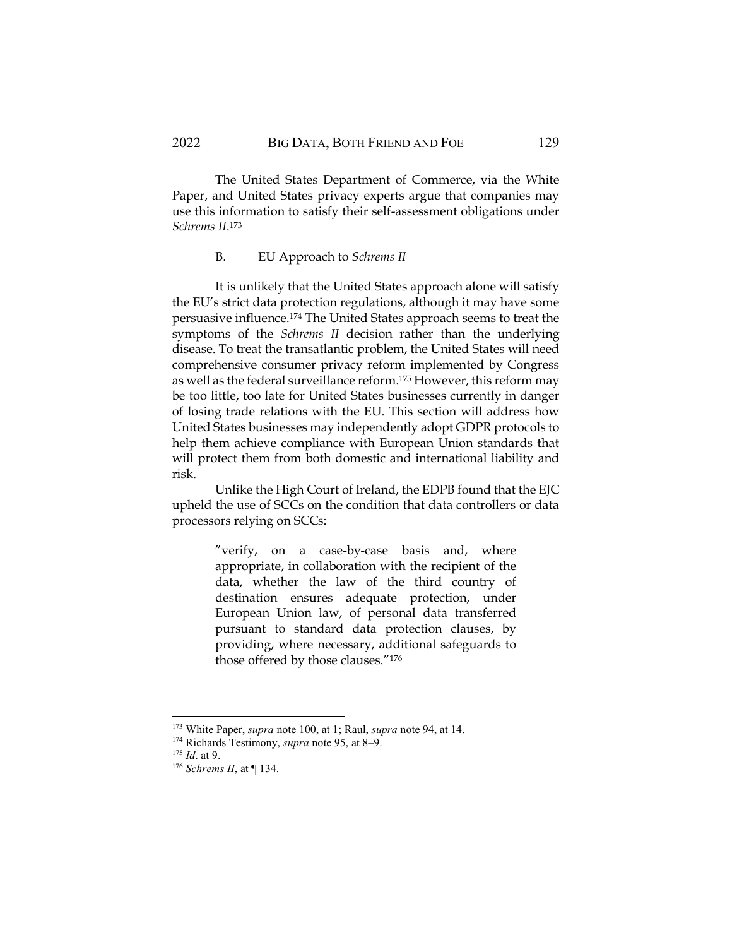The United States Department of Commerce, via the White Paper, and United States privacy experts argue that companies may use this information to satisfy their self-assessment obligations under *Schrems II*. 173

## B. EU Approach to *Schrems II*

It is unlikely that the United States approach alone will satisfy the EU's strict data protection regulations, although it may have some persuasive influence.<sup>174</sup> The United States approach seems to treat the symptoms of the *Schrems II* decision rather than the underlying disease. To treat the transatlantic problem, the United States will need comprehensive consumer privacy reform implemented by Congress as well as the federal surveillance reform.<sup>175</sup> However, this reform may be too little, too late for United States businesses currently in danger of losing trade relations with the EU. This section will address how United States businesses may independently adopt GDPR protocols to help them achieve compliance with European Union standards that will protect them from both domestic and international liability and risk.

Unlike the High Court of Ireland, the EDPB found that the EJC upheld the use of SCCs on the condition that data controllers or data processors relying on SCCs:

> "verify, on a case-by-case basis and, where appropriate, in collaboration with the recipient of the data, whether the law of the third country of destination ensures adequate protection, under European Union law, of personal data transferred pursuant to standard data protection clauses, by providing, where necessary, additional safeguards to those offered by those clauses."<sup>176</sup>

<sup>173</sup> White Paper, *supra* note 100, at 1; Raul, *supra* note 94, at 14.

<sup>174</sup> Richards Testimony, *supra* note 95, at 8–9.

<sup>175</sup> *Id*. at 9.

<sup>176</sup> *Schrems II*, at ¶ 134.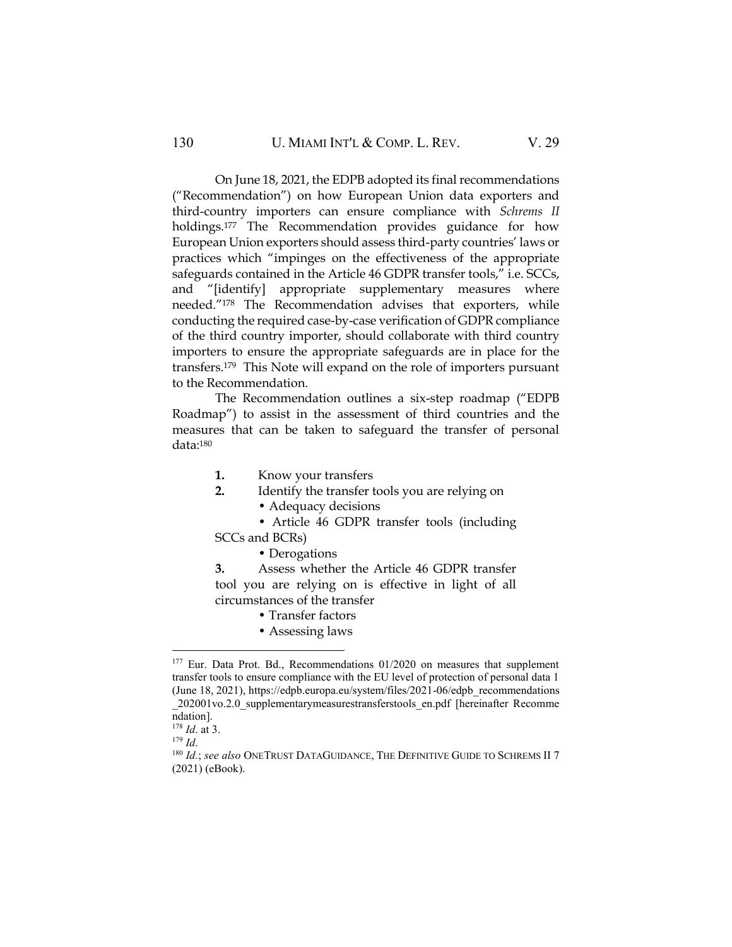On June 18, 2021, the EDPB adopted its final recommendations ("Recommendation") on how European Union data exporters and third-country importers can ensure compliance with *Schrems II* holdings.<sup>177</sup> The Recommendation provides guidance for how European Union exporters should assess third-party countries' laws or practices which "impinges on the effectiveness of the appropriate safeguards contained in the Article 46 GDPR transfer tools," i.e. SCCs, and "[identify] appropriate supplementary measures where needed."<sup>178</sup> The Recommendation advises that exporters, while conducting the required case-by-case verification of GDPR compliance of the third country importer, should collaborate with third country importers to ensure the appropriate safeguards are in place for the transfers.179 This Note will expand on the role of importers pursuant to the Recommendation.

The Recommendation outlines a six-step roadmap ("EDPB Roadmap") to assist in the assessment of third countries and the measures that can be taken to safeguard the transfer of personal data:<sup>180</sup>

- **1.** Know your transfers
- **2.** Identify the transfer tools you are relying on
	- Adequacy decisions
- Article 46 GDPR transfer tools (including SCCs and BCRs)
	- Derogations

**3.** Assess whether the Article 46 GDPR transfer tool you are relying on is effective in light of all circumstances of the transfer

- Transfer factors
- Assessing laws

<sup>&</sup>lt;sup>177</sup> Eur. Data Prot. Bd., Recommendations 01/2020 on measures that supplement transfer tools to ensure compliance with the EU level of protection of personal data 1 (June 18, 2021), https://edpb.europa.eu/system/files/2021-06/edpb\_recommendations \_202001vo.2.0\_supplementarymeasurestransferstools\_en.pdf [hereinafter Recomme ndation].

<sup>178</sup> *Id*. at 3.

<sup>179</sup> *Id*.

<sup>180</sup> *Id.*; see also ONETRUST DATAGUIDANCE, THE DEFINITIVE GUIDE TO SCHREMS II 7 (2021) (eBook).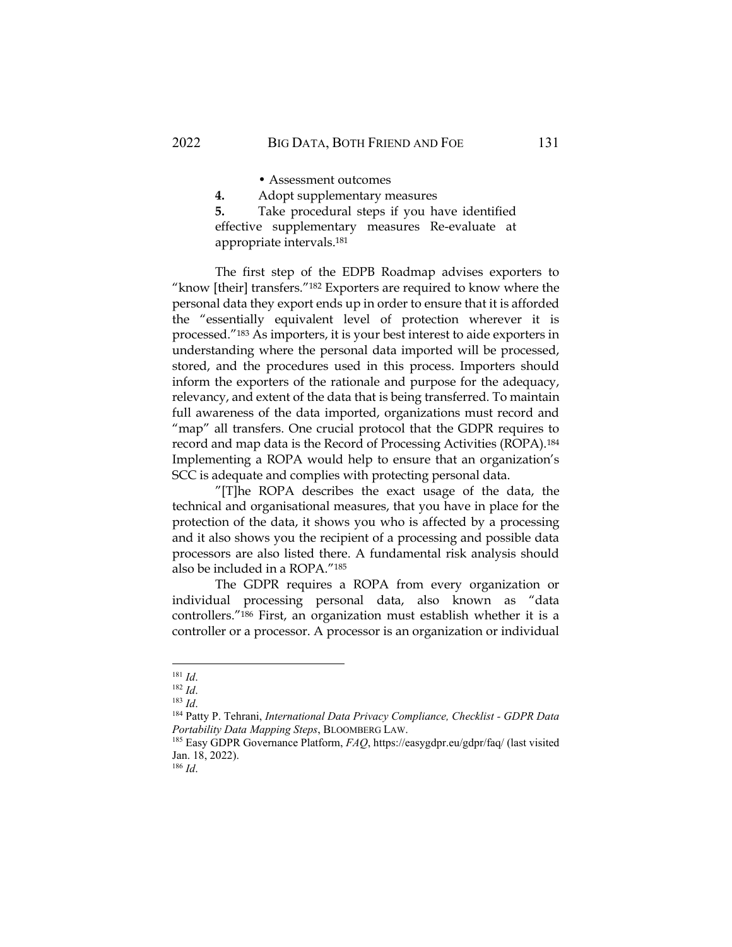• Assessment outcomes

**4.** Adopt supplementary measures

**5.** Take procedural steps if you have identified effective supplementary measures Re-evaluate at appropriate intervals. 181

The first step of the EDPB Roadmap advises exporters to "know [their] transfers."<sup>182</sup> Exporters are required to know where the personal data they export ends up in order to ensure that it is afforded the "essentially equivalent level of protection wherever it is processed."<sup>183</sup> As importers, it is your best interest to aide exporters in understanding where the personal data imported will be processed, stored, and the procedures used in this process. Importers should inform the exporters of the rationale and purpose for the adequacy, relevancy, and extent of the data that is being transferred. To maintain full awareness of the data imported, organizations must record and "map" all transfers. One crucial protocol that the GDPR requires to record and map data is the Record of Processing Activities (ROPA).<sup>184</sup> Implementing a ROPA would help to ensure that an organization's SCC is adequate and complies with protecting personal data.

"[T]he ROPA describes the exact usage of the data, the technical and organisational measures, that you have in place for the protection of the data, it shows you who is affected by a processing and it also shows you the recipient of a processing and possible data processors are also listed there. A fundamental risk analysis should also be included in a ROPA."<sup>185</sup>

The GDPR requires a ROPA from every organization or individual processing personal data, also known as "data controllers."<sup>186</sup> First, an organization must establish whether it is a controller or a processor. A processor is an organization or individual

<sup>186</sup> *Id*.

<sup>181</sup> *Id*.

<sup>182</sup> *Id*.

<sup>183</sup> *Id*.

<sup>184</sup> Patty P. Tehrani, *International Data Privacy Compliance, Checklist - GDPR Data Portability Data Mapping Steps*, BLOOMBERG LAW.

<sup>185</sup> Easy GDPR Governance Platform, *FAQ*, https://easygdpr.eu/gdpr/faq/ (last visited Jan. 18, 2022).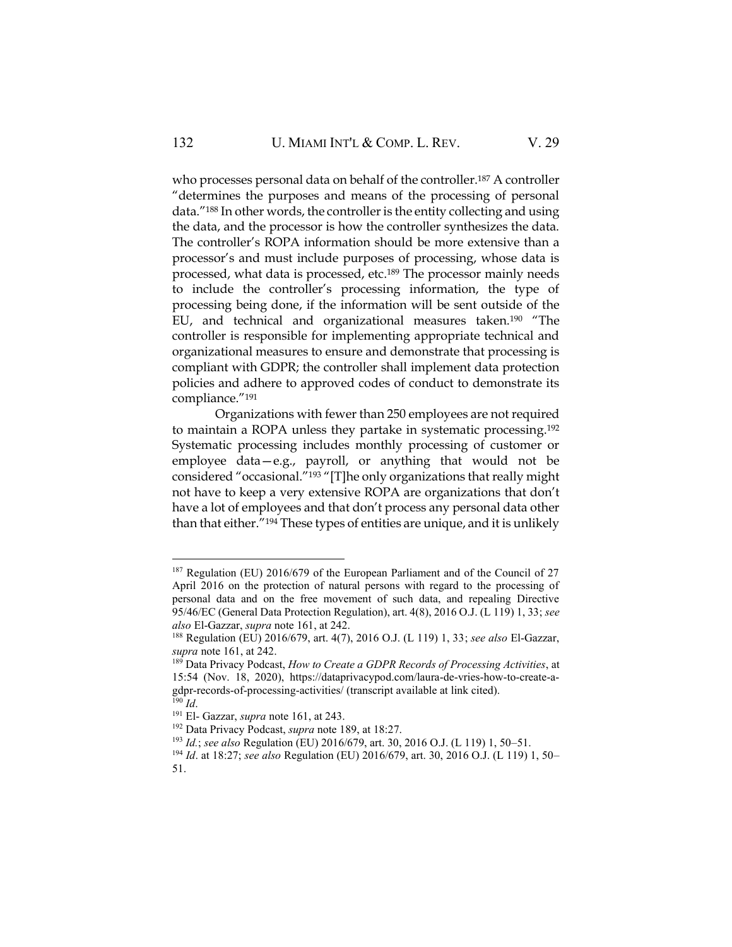who processes personal data on behalf of the controller.<sup>187</sup> A controller "determines the purposes and means of the processing of personal data."<sup>188</sup> In other words, the controller is the entity collecting and using the data, and the processor is how the controller synthesizes the data. The controller's ROPA information should be more extensive than a processor's and must include purposes of processing, whose data is processed, what data is processed, etc.<sup>189</sup> The processor mainly needs to include the controller's processing information, the type of processing being done, if the information will be sent outside of the EU, and technical and organizational measures taken.<sup>190</sup> "The controller is responsible for implementing appropriate technical and organizational measures to ensure and demonstrate that processing is compliant with GDPR; the controller shall implement data protection policies and adhere to approved codes of conduct to demonstrate its compliance."<sup>191</sup>

Organizations with fewer than 250 employees are not required to maintain a ROPA unless they partake in systematic processing.<sup>192</sup> Systematic processing includes monthly processing of customer or employee data—e.g., payroll, or anything that would not be considered "occasional."<sup>193</sup> "[T]he only organizations that really might not have to keep a very extensive ROPA are organizations that don't have a lot of employees and that don't process any personal data other than that either."<sup>194</sup> These types of entities are unique, and it is unlikely

<sup>&</sup>lt;sup>187</sup> Regulation (EU) 2016/679 of the European Parliament and of the Council of 27 April 2016 on the protection of natural persons with regard to the processing of personal data and on the free movement of such data, and repealing Directive 95/46/EC (General Data Protection Regulation), art. 4(8), 2016 O.J. (L 119) 1, 33; *see also* El-Gazzar, *supra* note 161, at 242.

<sup>188</sup> Regulation (EU) 2016/679, art. 4(7), 2016 O.J. (L 119) 1, 33; *see also* El-Gazzar, *supra* note 161, at 242.

<sup>189</sup> Data Privacy Podcast, *How to Create a GDPR Records of Processing Activities*, at 15:54 (Nov. 18, 2020), https://dataprivacypod.com/laura-de-vries-how-to-create-agdpr-records-of-processing-activities/ (transcript available at link cited). <sup>190</sup> *Id*.

<sup>191</sup> El- Gazzar, *supra* note 161, at 243.

<sup>192</sup> Data Privacy Podcast, *supra* note 189, at 18:27.

<sup>193</sup> *Id.*; *see also* Regulation (EU) 2016/679, art. 30, 2016 O.J. (L 119) 1, 50–51.

<sup>194</sup> *Id*. at 18:27; *see also* Regulation (EU) 2016/679, art. 30, 2016 O.J. (L 119) 1, 50– 51.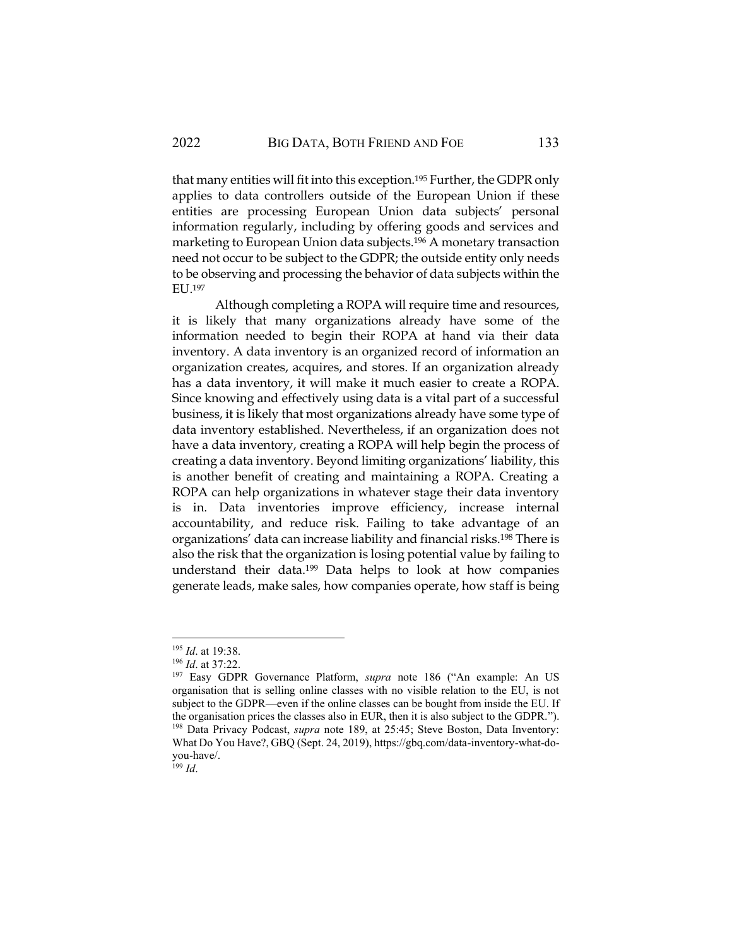that many entities will fit into this exception.<sup>195</sup> Further, the GDPR only applies to data controllers outside of the European Union if these entities are processing European Union data subjects' personal information regularly, including by offering goods and services and marketing to European Union data subjects.<sup>196</sup> A monetary transaction need not occur to be subject to the GDPR; the outside entity only needs to be observing and processing the behavior of data subjects within the EU.197

Although completing a ROPA will require time and resources, it is likely that many organizations already have some of the information needed to begin their ROPA at hand via their data inventory. A data inventory is an organized record of information an organization creates, acquires, and stores. If an organization already has a data inventory, it will make it much easier to create a ROPA. Since knowing and effectively using data is a vital part of a successful business, it is likely that most organizations already have some type of data inventory established. Nevertheless, if an organization does not have a data inventory, creating a ROPA will help begin the process of creating a data inventory. Beyond limiting organizations' liability, this is another benefit of creating and maintaining a ROPA. Creating a ROPA can help organizations in whatever stage their data inventory is in. Data inventories improve efficiency, increase internal accountability, and reduce risk. Failing to take advantage of an organizations' data can increase liability and financial risks.<sup>198</sup> There is also the risk that the organization is losing potential value by failing to understand their data.<sup>199</sup> Data helps to look at how companies generate leads, make sales, how companies operate, how staff is being

 $^{199}$  *Id.* 

<sup>195</sup> *Id*. at 19:38.

<sup>196</sup> *Id*. at 37:22.

<sup>197</sup> Easy GDPR Governance Platform, *supra* note 186 ("An example: An US organisation that is selling online classes with no visible relation to the EU, is not subject to the GDPR—even if the online classes can be bought from inside the EU. If the organisation prices the classes also in EUR, then it is also subject to the GDPR."). <sup>198</sup> Data Privacy Podcast, *supra* note 189, at 25:45; Steve Boston, Data Inventory: What Do You Have?, GBQ (Sept. 24, 2019), https://gbq.com/data-inventory-what-doyou-have/.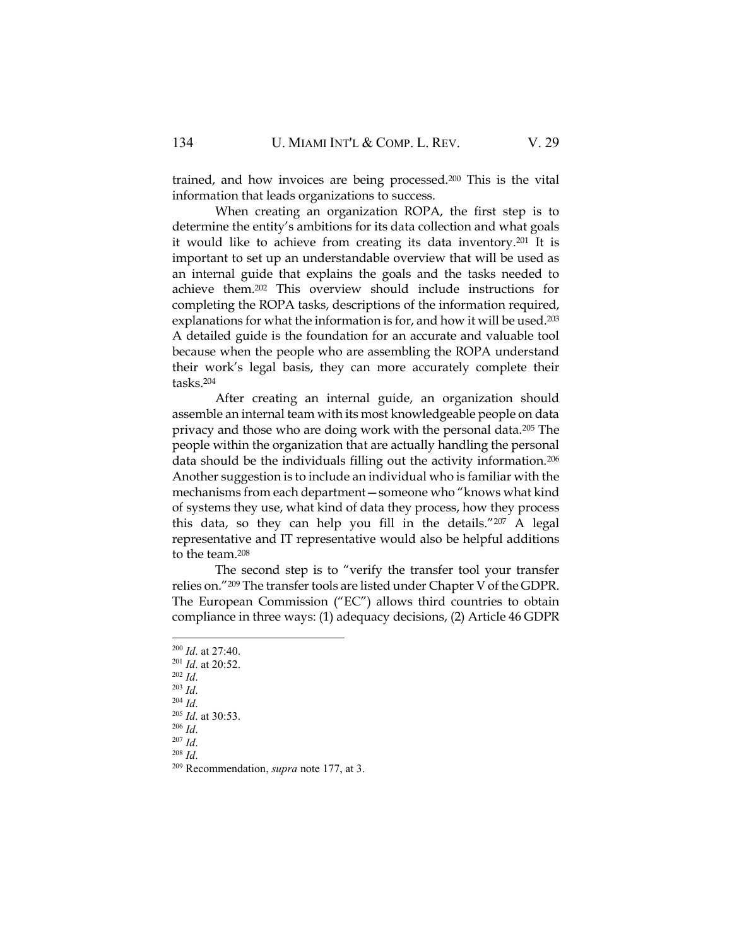trained, and how invoices are being processed.<sup>200</sup> This is the vital information that leads organizations to success.

When creating an organization ROPA, the first step is to determine the entity's ambitions for its data collection and what goals it would like to achieve from creating its data inventory.<sup>201</sup> It is important to set up an understandable overview that will be used as an internal guide that explains the goals and the tasks needed to achieve them.<sup>202</sup> This overview should include instructions for completing the ROPA tasks, descriptions of the information required, explanations for what the information is for, and how it will be used.<sup>203</sup> A detailed guide is the foundation for an accurate and valuable tool because when the people who are assembling the ROPA understand their work's legal basis, they can more accurately complete their tasks.<sup>204</sup>

After creating an internal guide, an organization should assemble an internal team with its most knowledgeable people on data privacy and those who are doing work with the personal data.<sup>205</sup> The people within the organization that are actually handling the personal data should be the individuals filling out the activity information.<sup>206</sup> Another suggestion is to include an individual who is familiar with the mechanisms from each department—someone who "knows what kind of systems they use, what kind of data they process, how they process this data, so they can help you fill in the details."<sup>207</sup> A legal representative and IT representative would also be helpful additions to the team.<sup>208</sup>

The second step is to "verify the transfer tool your transfer relies on."<sup>209</sup> The transfer tools are listed under Chapter V of the GDPR. The European Commission ("EC") allows third countries to obtain compliance in three ways: (1) adequacy decisions, (2) Article 46 GDPR

- <sup>202</sup> *Id*.
- <sup>203</sup> *Id*. <sup>204</sup> *Id*.

<sup>208</sup> *Id*.

<sup>200</sup> *Id*. at 27:40.

<sup>201</sup> *Id*. at 20:52.

<sup>205</sup> *Id*. at 30:53. <sup>206</sup> *Id*.

<sup>207</sup> *Id*.

<sup>209</sup> Recommendation, *supra* note 177, at 3.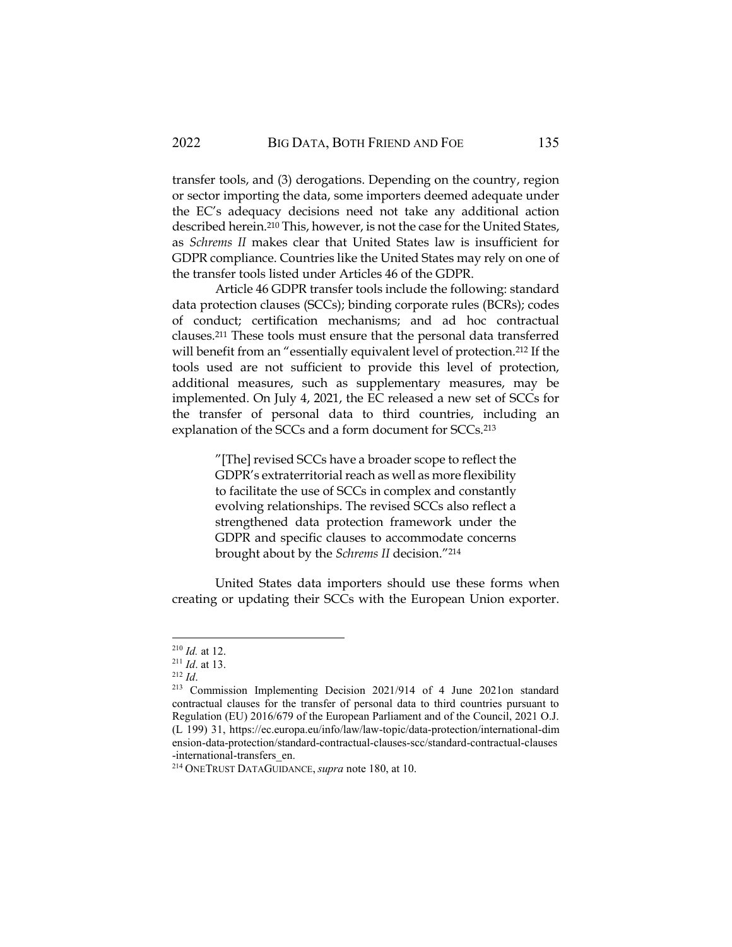transfer tools, and (3) derogations. Depending on the country, region or sector importing the data, some importers deemed adequate under the EC's adequacy decisions need not take any additional action described herein.<sup>210</sup> This, however, is not the case for the United States, as *Schrems II* makes clear that United States law is insufficient for GDPR compliance. Countries like the United States may rely on one of the transfer tools listed under Articles 46 of the GDPR.

Article 46 GDPR transfer tools include the following: standard data protection clauses (SCCs); binding corporate rules (BCRs); codes of conduct; certification mechanisms; and ad hoc contractual clauses.<sup>211</sup> These tools must ensure that the personal data transferred will benefit from an "essentially equivalent level of protection.<sup>212</sup> If the tools used are not sufficient to provide this level of protection, additional measures, such as supplementary measures, may be implemented. On July 4, 2021, the EC released a new set of SCCs for the transfer of personal data to third countries, including an explanation of the SCCs and a form document for SCCs.<sup>213</sup>

> "[The] revised SCCs have a broader scope to reflect the GDPR's extraterritorial reach as well as more flexibility to facilitate the use of SCCs in complex and constantly evolving relationships. The revised SCCs also reflect a strengthened data protection framework under the GDPR and specific clauses to accommodate concerns brought about by the *Schrems II* decision."<sup>214</sup>

United States data importers should use these forms when creating or updating their SCCs with the European Union exporter.

<sup>210</sup> *Id.* at 12.

<sup>211</sup> *Id*. at 13.

<sup>212</sup> *Id*.

<sup>213</sup> Commission Implementing Decision 2021/914 of 4 June 2021on standard contractual clauses for the transfer of personal data to third countries pursuant to Regulation (EU) 2016/679 of the European Parliament and of the Council, 2021 O.J. (L 199) 31, https://ec.europa.eu/info/law/law-topic/data-protection/international-dim ension-data-protection/standard-contractual-clauses-scc/standard-contractual-clauses -international-transfers\_en.

<sup>214</sup> ONETRUST DATAGUIDANCE,*supra* note 180, at 10.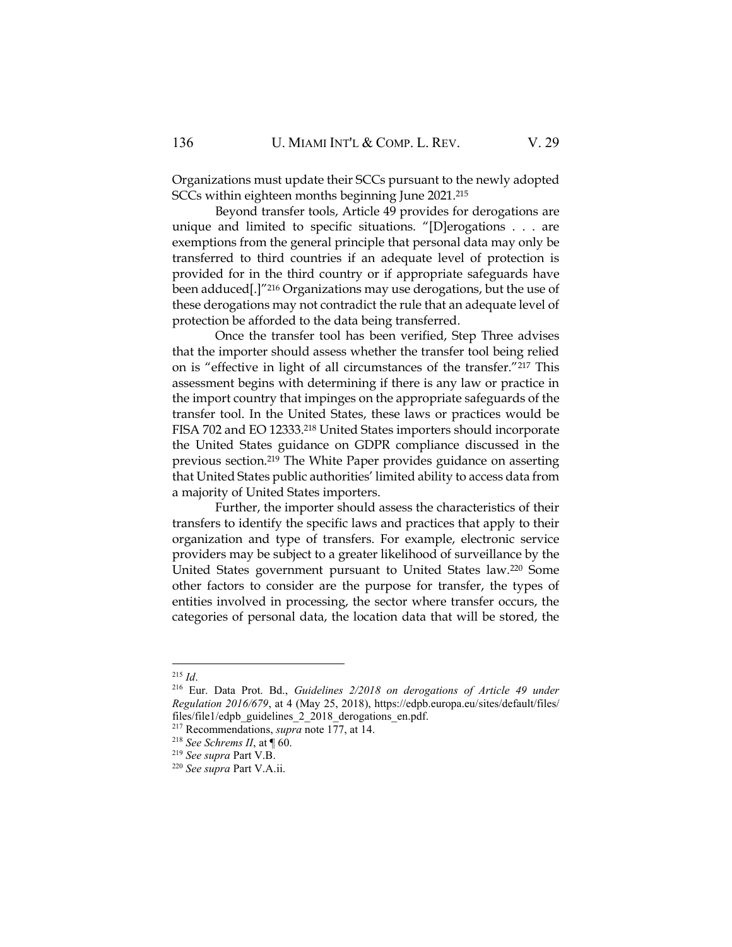Organizations must update their SCCs pursuant to the newly adopted SCCs within eighteen months beginning June 2021.<sup>215</sup>

Beyond transfer tools, Article 49 provides for derogations are unique and limited to specific situations. "[D]erogations . . . are exemptions from the general principle that personal data may only be transferred to third countries if an adequate level of protection is provided for in the third country or if appropriate safeguards have been adduced[.]"<sup>216</sup> Organizations may use derogations, but the use of these derogations may not contradict the rule that an adequate level of protection be afforded to the data being transferred.

Once the transfer tool has been verified, Step Three advises that the importer should assess whether the transfer tool being relied on is "effective in light of all circumstances of the transfer."<sup>217</sup> This assessment begins with determining if there is any law or practice in the import country that impinges on the appropriate safeguards of the transfer tool. In the United States, these laws or practices would be FISA 702 and EO 12333.<sup>218</sup> United States importers should incorporate the United States guidance on GDPR compliance discussed in the previous section.<sup>219</sup> The White Paper provides guidance on asserting that United States public authorities' limited ability to access data from a majority of United States importers.

Further, the importer should assess the characteristics of their transfers to identify the specific laws and practices that apply to their organization and type of transfers. For example, electronic service providers may be subject to a greater likelihood of surveillance by the United States government pursuant to United States law.<sup>220</sup> Some other factors to consider are the purpose for transfer, the types of entities involved in processing, the sector where transfer occurs, the categories of personal data, the location data that will be stored, the

<sup>215</sup> *Id*.

<sup>216</sup> Eur. Data Prot. Bd., *Guidelines 2/2018 on derogations of Article 49 under Regulation 2016/679*, at 4 (May 25, 2018), https://edpb.europa.eu/sites/default/files/ files/file1/edpb\_guidelines\_2\_2018\_derogations\_en.pdf.

<sup>217</sup> Recommendations, *supra* note 177, at 14.

<sup>&</sup>lt;sup>218</sup> *See Schrems II*, at  $\P$  60.

<sup>219</sup> *See supra* Part V.B.

<sup>220</sup> *See supra* Part V.A.ii.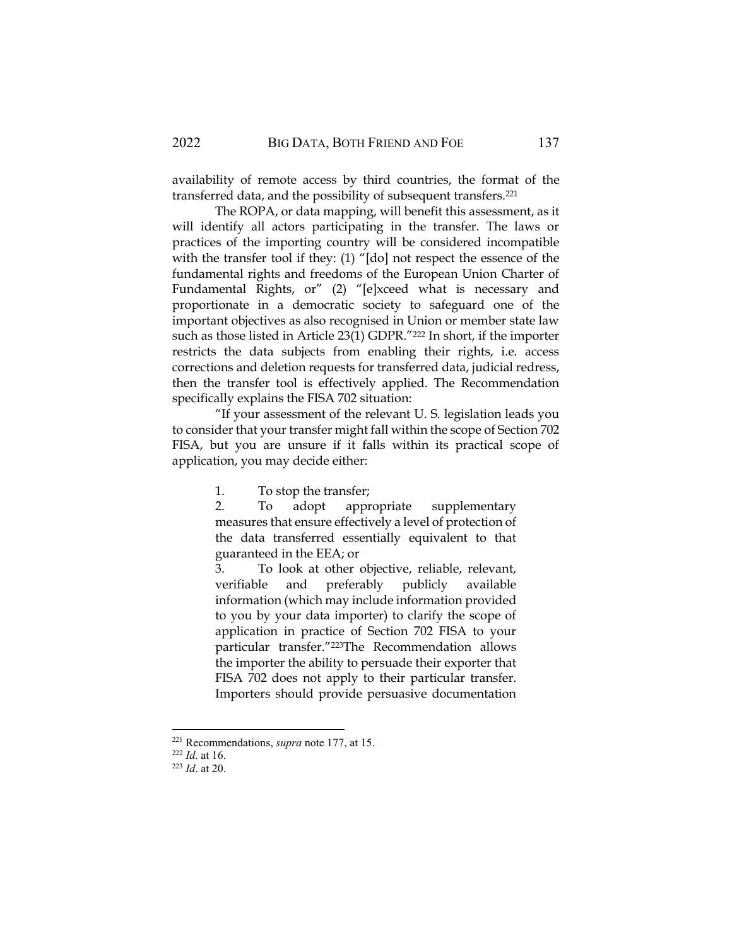availability of remote access by third countries, the format of the transferred data, and the possibility of subsequent transfers.<sup>221</sup>

The ROPA, or data mapping, will benefit this assessment, as it will identify all actors participating in the transfer. The laws or practices of the importing country will be considered incompatible with the transfer tool if they: (1) "[do] not respect the essence of the fundamental rights and freedoms of the European Union Charter of Fundamental Rights, or" (2) "[e]xceed what is necessary and proportionate in a democratic society to safeguard one of the important objectives as also recognised in Union or member state law such as those listed in Article 23(1) GDPR."<sup>222</sup> In short, if the importer restricts the data subjects from enabling their rights, i.e. access corrections and deletion requests for transferred data, judicial redress, then the transfer tool is effectively applied. The Recommendation specifically explains the FISA 702 situation:

"If your assessment of the relevant U. S. legislation leads you to consider that your transfer might fall within the scope of Section 702 FISA, but you are unsure if it falls within its practical scope of application, you may decide either:

1. To stop the transfer;

2. To adopt appropriate supplementary measures that ensure effectively a level of protection of the data transferred essentially equivalent to that guaranteed in the EEA; or

3. To look at other objective, reliable, relevant, verifiable and preferably publicly available information (which may include information provided to you by your data importer) to clarify the scope of application in practice of Section 702 FISA to your particular transfer."223The Recommendation allows the importer the ability to persuade their exporter that FISA 702 does not apply to their particular transfer. Importers should provide persuasive documentation

<sup>221</sup> Recommendations, *supra* note 177, at 15.

<sup>222</sup> *Id*. at 16.

<sup>223</sup> *Id*. at 20.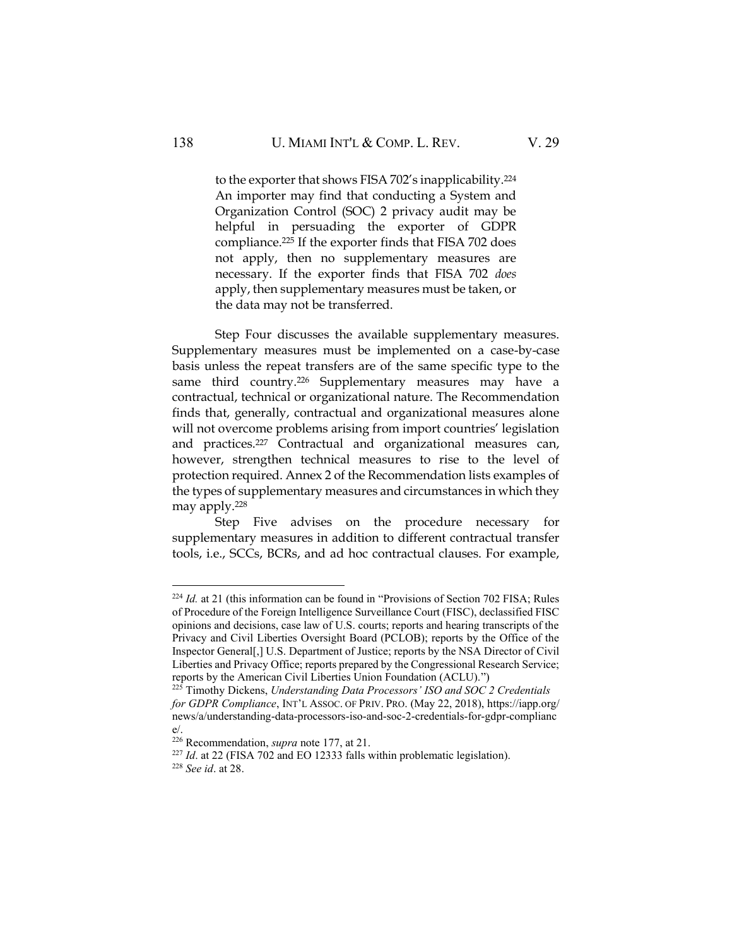to the exporter that shows FISA 702's inapplicability.<sup>224</sup> An importer may find that conducting a System and Organization Control (SOC) 2 privacy audit may be helpful in persuading the exporter of GDPR compliance.<sup>225</sup> If the exporter finds that FISA 702 does not apply, then no supplementary measures are necessary. If the exporter finds that FISA 702 *does*  apply, then supplementary measures must be taken, or the data may not be transferred.

Step Four discusses the available supplementary measures. Supplementary measures must be implemented on a case-by-case basis unless the repeat transfers are of the same specific type to the same third country.<sup>226</sup> Supplementary measures may have a contractual, technical or organizational nature. The Recommendation finds that, generally, contractual and organizational measures alone will not overcome problems arising from import countries' legislation and practices.<sup>227</sup> Contractual and organizational measures can, however, strengthen technical measures to rise to the level of protection required. Annex 2 of the Recommendation lists examples of the types of supplementary measures and circumstances in which they may apply.<sup>228</sup>

Step Five advises on the procedure necessary for supplementary measures in addition to different contractual transfer tools, i.e., SCCs, BCRs, and ad hoc contractual clauses. For example,

<sup>&</sup>lt;sup>224</sup> *Id.* at 21 (this information can be found in "Provisions of Section 702 FISA; Rules of Procedure of the Foreign Intelligence Surveillance Court (FISC), declassified FISC opinions and decisions, case law of U.S. courts; reports and hearing transcripts of the Privacy and Civil Liberties Oversight Board (PCLOB); reports by the Office of the Inspector General[,] U.S. Department of Justice; reports by the NSA Director of Civil Liberties and Privacy Office; reports prepared by the Congressional Research Service; reports by the American Civil Liberties Union Foundation (ACLU).")

<sup>225</sup> Timothy Dickens, *Understanding Data Processors' ISO and SOC 2 Credentials for GDPR Compliance*, INT'L ASSOC. OF PRIV. PRO. (May 22, 2018), https://iapp.org/ news/a/understanding-data-processors-iso-and-soc-2-credentials-for-gdpr-complianc e/.

<sup>226</sup> Recommendation, *supra* note 177, at 21.

<sup>&</sup>lt;sup>227</sup> *Id.* at 22 (FISA 702 and EO 12333 falls within problematic legislation).

<sup>228</sup> *See id*. at 28.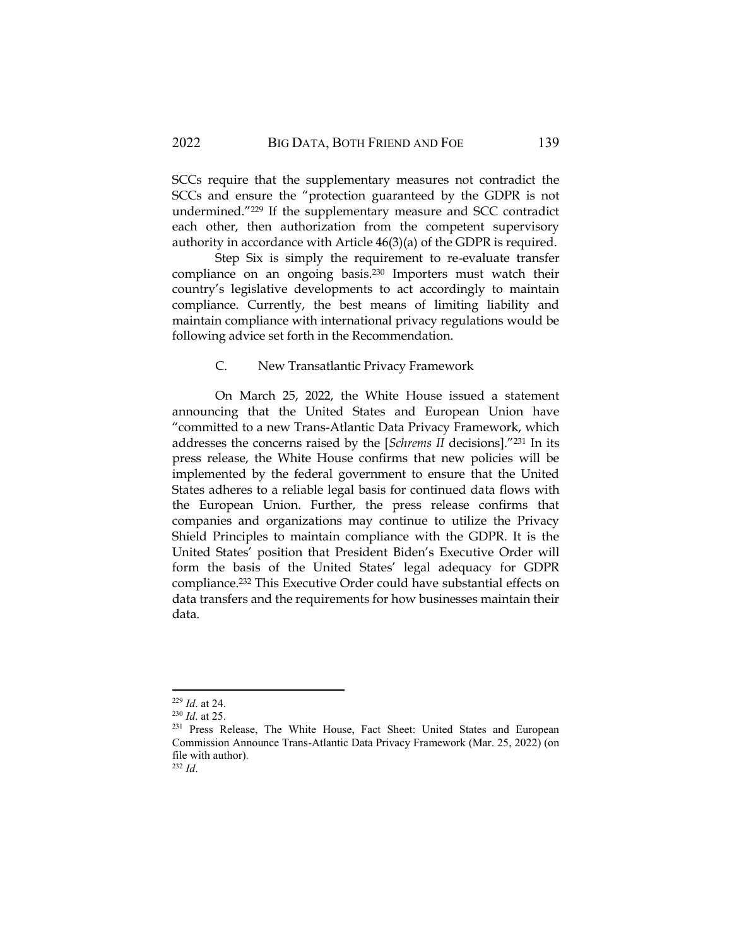SCCs require that the supplementary measures not contradict the SCCs and ensure the "protection guaranteed by the GDPR is not undermined."<sup>229</sup> If the supplementary measure and SCC contradict each other, then authorization from the competent supervisory authority in accordance with Article 46(3)(a) of the GDPR is required.

Step Six is simply the requirement to re-evaluate transfer compliance on an ongoing basis.<sup>230</sup> Importers must watch their country's legislative developments to act accordingly to maintain compliance. Currently, the best means of limiting liability and maintain compliance with international privacy regulations would be following advice set forth in the Recommendation.

#### C. New Transatlantic Privacy Framework

On March 25, 2022, the White House issued a statement announcing that the United States and European Union have "committed to a new Trans-Atlantic Data Privacy Framework, which addresses the concerns raised by the [*Schrems II* decisions]."<sup>231</sup> In its press release, the White House confirms that new policies will be implemented by the federal government to ensure that the United States adheres to a reliable legal basis for continued data flows with the European Union. Further, the press release confirms that companies and organizations may continue to utilize the Privacy Shield Principles to maintain compliance with the GDPR. It is the United States' position that President Biden's Executive Order will form the basis of the United States' legal adequacy for GDPR compliance.<sup>232</sup> This Executive Order could have substantial effects on data transfers and the requirements for how businesses maintain their data.

<sup>229</sup> *Id*. at 24.

<sup>230</sup> *Id*. at 25.

<sup>&</sup>lt;sup>231</sup> Press Release, The White House, Fact Sheet: United States and European Commission Announce Trans-Atlantic Data Privacy Framework (Mar. 25, 2022) (on file with author).

<sup>232</sup> *Id*.